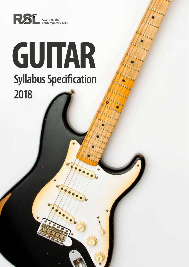

# **GUITAR Syllabus Specification 2018**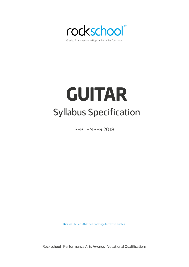

# **GUITAR** Syllabus Specification

SEPTEMBER 2018

**Revised:** 17 Sep 2020 (see final page for revision notes)

Rockschool | Performance Arts Awards | Vocational Qualifications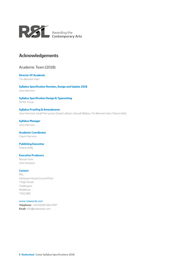<span id="page-2-0"></span>

# **Acknowledgements**

# Academic Team (2018)

# **Director Of Academic**

Tim Bennett-Hart

**Syllabus Specification Revision, Design and Update 2018** Jono Harrison

## **Syllabus Specification Design & Typesetting**

Simon Troup

### **Syllabus Proofing & Amendments** Jono Harrison, Sarah Perryman, Daniel Latham, Hannah Blabey, Tim Bennett-Hart, Sharon Kelly

**Syllabus Manager** Jono Harrison

**Academic Coordinator** Calum Harrison

## **Publishing Executive**

Sharon Kelly

#### **Executive Producers**

Norton York John Simpson

#### **Contact**

RSL Harlequin House Ground Floor 7 High Street Teddington Middlesex TW11 8EE

#### www.rslawards.com

**Telephone:** +44 (0)345 460 4747 **Email:** info@rslawards.com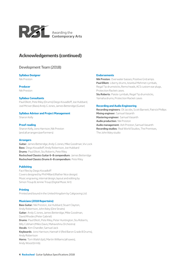

# **Acknowledgements (continued)**

# Development Team (2018)

#### **Syllabus Designer**

Nik Preston

**Producer**

Nik Preston

#### **Syllabus Consultants**

Paul Elliott, Pete Riley (Drums) Diego Kovadloff, Joe Hubbard, Joel McIver (Bass) Andy G Jones, James Betteridge (Guitar)

#### **Syllabus Advisor and Project Management**

Sharon Kelly

## **Proof reading**

Sharon Kelly, Jono Harrison, Nik Preston (and all arrangers/performers)

#### **Arrangers**

**Guitar:** James Betteridge, Andy G Jones, Mike Goodman, Viv Lock **Bass:** Diego Kovadloff, Andy Robertson, Joe Hubbard **Drums:** Paul Elliott, Stu Roberts, Pete Riley **Rockschool Classics Guitar 6–8 compendium:** James Betteridge **Rockschool Classics Drums 6–8 compendium:** Pete Riley

#### **Publishing**

Fact files by Diego Kovadloff Covers designed by Phil Millard (Rather Nice design) Music engraving, internal design, layout and editing by Simon Troup & Jennie Troup (Digital Music Art)

## **Printing**

Printed and bound in the United Kingdom by Caligraving Ltd.

## **Musicians (2018 Repertoire)**

**Bass Guitar:** Nik Preston, Joe Hubbard, Stuart Clayton, Andy Robertson, John Ilsley (Dire Straits) **Guitar:** Andy G Jones, James Betteridge, Mike Goodman, David Rhodes (Peter Gabriel) **Drums:** Paul Elliott, Pete Riley, Peter Huntington, Stu Roberts, Billy Cobham (Miles Davis, Mahavishnu Orchestra) **Vocals:** Kim Chandler, Samuel Jack **Keyboards:** Jono Harrison, Hannah V (Red Baron Grade 8 Drums), Andy Robertson **Horns:** Tom Walsh (tpt), Martin Williams (all saxes), Andy Wood (trmb).

#### **Endorsements**

**Nik Preston:** Overwater basses, Positive Grid amps. **Paul Elliott:** Liberty drums, Istanbul Mehmet cymbals, Regal Tip drumsticks, Remo heads, ACS custom ear plugs, Protection Racket cases. **Stu Roberts:** Paiste cymbals, Regal Tip drumsticks, Yamaha drums, Protection Racket cases

#### **Recording and Audio Engineering**

**Recording engineers:** Oli Jacobs, Scott Barnett, Patrick Phillips **Mixing engineer:** Samuel Vasanth **Mastering engineer:** Samuel Vasanth **Audio production:** Nik Preston **Audio management:** Ash Preston, Samuel Vasanth **Recording studios:** Real World Studios, The Premises, The John Ilsley studio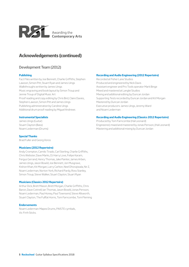

# **Acknowledgements (continued)**

# Development Team (2012)

#### **Publishing**

Fact Files written by Joe Bennett, Charlie Griffiths, Stephen Lawson, Simon Pitt, Stuart Ryan and James Uings Walkthroughs written by James Uings Music engraving and book layout by Simon Troup and Jennie Troup of Digital Music Art Proof reading and copy editing by Chris Bird, Claire Davies, Stephen Lawson, Simon Pitt and James Uings Publishing administration by Caroline Uings Additional drum proof reading by Miguel Andrews

#### **Instrumental Specialists**

James Uings (Guitar) Stuart Clayton (Bass) Noam Lederman (Drums)

#### **Special Thanks**

Brad Fuller and Georg Voros

#### **Musicians (2012 Repertoire)**

Andy Crompton, Camilo Tirado, Carl Sterling, Charlie Griffiths, Chris Webster, Dave Marks, DJ Harry Love, Felipe Karam, Fergus Gerrand, Henry Thomas, Jake Painter, James Arben, James Uings, Jason Bowld, Joe Bennett, Jon Musgrave, Kishon Khan, Kit Morgan, Larry Carlton, Neel Dhorajiwala, Nir Z, Noam Lederman, Norton York, Richard Pardy, Ross Stanley, Simon Troup, Steve Walker, Stuart Clayton, Stuart Ryan

#### **Musicians (Classics 2012 Repertoire)**

Arthur Dick, Brett Mason, Brett Morgan, Charlie Griffiths, Chris Baron, Dave Cottrell, Ian Thomas, Jason Bowld, Jonas Persson, Noam Lederman, Paul Honey, Paul Townsend, Steve Allsworth, Stuart Clayton, The Fullfat Horns, Tom Farncombe, Tom Fleming

#### **Endorsements**

Noam Lederman: Mapex Drums, PAISTE cymbals, Vic Firth Sticks.

#### **Recording and Audio Engineering (2012 Repertoire)**

Recorded at Fisher Lane Studios Produced and engineered by Nick Davis Assistant engineer and Pro Tools operator Mark Binge Mixed and mastered at Langlei Studios Mixing and additional editing by Duncan Jordan Supporting Tests recorded by Duncan Jordan and Kit Morgan Mastered by Duncan Jordan Executive producers: James Uings, Jeremy Ward and Noam Lederman

#### **Recording and Audio Engineering (Classics 2012 Repertoire)**

Produced by Tom Farncombe (Hal Leonard) Engineered, mixed and mastered by Jonas Persson, (Hal Leonard) Mastering and additional mixing by Duncan Jordan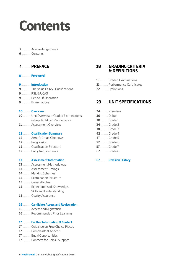# <span id="page-5-0"></span>**Contents**

## ................... [Acknowledgements](#page-2-0)

**Contents** 

# .................. **[PREFACE](#page-6-0)**

................... **[Foreword](#page-7-0)**

## ................... **[Introduction](#page-8-0)**

- ................... [The Value Of RSL Qualifications](#page-8-0)
- [RSL & UCAS](#page-8-0)
- ................... [Period Of Operation](#page-8-0)
- ................... [Examinations](#page-8-0)

## ............... **[Overview](#page-9-0)**

- ............... [Unit Overview Graded Examinations](#page-9-0)  [in Popular Music Performance](#page-9-0)
- ................. [Assessment Overview](#page-10-0)

## ................ **[Qualification Summary](#page-11-0)**

- ................ [Aims & Broad Objectives](#page-11-0)
- ................ [Progression](#page-11-0)
- ................ [Qualification Structure](#page-11-0)
- ................ [Entry Requirements](#page-11-0)

## ................ **[Assessment Information](#page-12-0)**

- ................ [Assessment Methodology](#page-12-0)
- ................ [Assessment Timings](#page-12-0)
- ................ [Marking Schemes](#page-13-0)
- ................ [Examination Structure](#page-14-0)
- ................ [General Notes](#page-14-0)
- ................ [Expectations of Knowledge,](#page-14-0)  [Skills and Understanding](#page-14-0)
- ................ [Quality Assurance](#page-14-0)

## ................ **[Candidate Access and Registration](#page-15-0)**

- ................ [Access and Registration](#page-15-0)
- ................ [Recommended Prior Learning](#page-15-0)

## ................ **[Further Information & Contact](#page-16-0)**

- ................ [Guidance on Free Choice Pieces](#page-16-0)
- ................ [Complaints & Appeals](#page-16-0)
- ................ [Equal Opportunities](#page-16-0)
- ................ [Contacts for Help & Support](#page-16-0)

# ............. **[GRADING CRITERIA](#page-17-0)  [& DEFINITIONS](#page-17-0)**

- ................ [Graded Examinations](#page-18-0)
- ................ [Performance Certificates](#page-20-0)
- ............... [Definitions](#page-21-0)

# ............. **[UNIT SPECIFICATIONS](#page-22-0)**

|                   | <b>24</b> <u></u> Premiere |
|-------------------|----------------------------|
| <b>26 Debut</b>   |                            |
| <b>30</b> Grade 1 |                            |
| <b>34</b> Grade 2 |                            |
| <b>38</b> Grade 3 |                            |
| <b>42</b> Grade 4 |                            |
| <b>47</b> Grade 5 |                            |
| <b>52</b> Grade 6 |                            |
| <b>57</b> Grade 7 |                            |
| <b>62</b> Grade 8 |                            |

............... **[Revision History](#page-69-0)**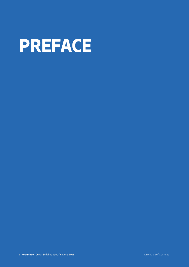<span id="page-6-0"></span>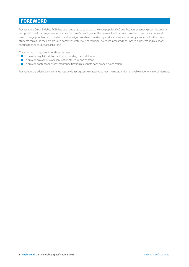# <span id="page-7-0"></span>**FOREWORD**

Rockschool's Guitar Syllabus 2018 has been designed to build upon the ever-popular 2012 qualification, expanding upon the original compositions with arrangements of six new 'hit tunes' at each grade. This has resulted in an even broader scope for learners at all levels to engage with repertoire which has been rigorously benchmarked against academic and industry standards. Furthermore, students can gauge their progress via commensurate levels of technical exercises, prepared and unseen skills tests and questions relating to their studies at each grade.

This specification guide serves three purposes:

- $\blacksquare$  To provide regulatory information surrounding the qualification
- $\blacksquare$  To provide an overview of examination structure and content
- $\blacksquare$  To provide content and assessment specification relevant to each graded examination

Rockschool's graded exams continue to provide a progressive mastery approach to music and an enjoyable experience for all learners.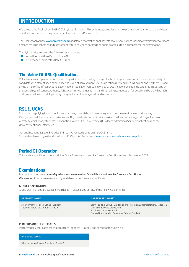# <span id="page-8-0"></span>**INTRODUCTION**

Welcome to the Rockschool 2018–2024 syllabus for Guitar. This syllabus guide is designed to give teachers, learners and candidates practical information on the graded examinations run by Rockschool.

The Rockschool website www.rslawards.com has detailed information on all aspects of our examinations, including examination regulations, detailed marking schemes and assessment criteria as well as notated and audio examples to help prepare for the examination.

This Syllabus Guide covers the following examinations:

- Graded Examinations Debut Grade 8
- Performance Certificates Debut Grade 8

# **The Value Of RSL Qualifications**

RSL advocates an open access approach to qualifications, providing a range of syllabi, designed to accommodate a wide variety of candidates of different ages, experience and levels of achievement. RSL qualifications are regulated in England and Northern Ireland by the Office of Qualifications and Examinations Regulation (Ofqual), in Wales by Qualifications Wales and accredited in Scotland by the Scottish Qualifications Authority. RSL is committed to maintaining and improving its reputation for excellence by providing high quality education and training through its syllabi, examinations, music and resources.

# **RSL & UCAS**

For students applying for work or University, many potential employers see graded music exams in a very positive way. Recognised qualifications demonstrate an ability to dedicate commitment to extra-curricular activities, providing evidence of versatility which many students find beneficial within UCAS (Universities & Colleges Admissions Service) applications and for University entrance interviews.

Our qualifications at Level 3 (Grades 6–8) carry allocated points on the UCAS tariff. For full details relating to the allocation of UCAS points please see: www.rslawards.com/about-us/ucas-points

# **Period Of Operation**

This syllabus specification covers Guitar Grade Examinations and Performance Certificates from September 2018.

# **Examinations**

Rockschool offers **two types of graded music examination: Graded Examination & Performance Certificate**. *Please note:* Premiere exams are only available as a performance certificate.

#### **GRADE EXAMINATIONS**

Grade Examinations are available from Debut – Grade 8 and consist of the following elements:

| <b>PREPARED WORK</b>                                                          | <b>UNPREPARED WORK</b>                                                                                                                                                                         |
|-------------------------------------------------------------------------------|------------------------------------------------------------------------------------------------------------------------------------------------------------------------------------------------|
| 3 Performance Pieces: Debut - Grade 8<br>Technical Exercises: Debut - Grade 8 | Sight Reading: Debut - Grade 5 or Improvisation & Interpretation: Grades 1-5<br>Quick Study Piece: Grades 6-8<br>Ear Tests: Debut - Grade 8<br>General Musicianship Questions: Debut - Grade 8 |

## **PERFORMANCE CERTIFICATES**

Performance Certificates are available from Premiere – Grade 8 and consist of the following:

#### **PREPARED WORK**

5 Performance Pieces: Premiere – Grade 8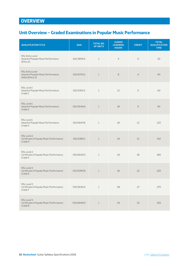# <span id="page-9-0"></span>**OVERVIEW**

# **Unit Overview – Graded Examinations in Popular Music Performance**

| <b>QUALIFICATION TITLE</b>                                                       | QAN        | <b>TOTAL NO.</b><br>OF UNITS | <b>GUIDED</b><br><b>LEARNING</b><br><b>HOURS</b> | <b>CREDIT</b>  | <b>TOTAL</b><br><b>QUALIFICATION</b><br><b>TIME</b> |
|----------------------------------------------------------------------------------|------------|------------------------------|--------------------------------------------------|----------------|-----------------------------------------------------|
| RSL Entry Level<br>Award in Popular Music Performance<br>(Entry 2)               | 601/3895/6 | $\mathbf{1}$                 | $\overline{4}$                                   | $\circ$        | 20                                                  |
| <b>RSL Entry Level</b><br>Award in Popular Music Performance:<br>Debut (Entry 3) | 501/0370/2 | $\mathbf{1}$                 | $\,8\,$                                          | $\overline{4}$ | 40                                                  |
| RSL Level1<br>Award in Popular Music Performance:<br>Grade 1                     | 501/0391/X | $\mathbf{1}$                 | 12                                               | 6              | 60                                                  |
| RSL Level1<br>Award in Popular Music Performance:<br>Grade 2                     | 501/0646/6 | $\mathbf{1}$                 | 18                                               | $\overline{9}$ | 90                                                  |
| RSL Level1<br>Award in Popular Music Performance:<br>Grade 3                     | 501/0647/8 | $\mathbf{1}$                 | 18                                               | 12             | 120                                                 |
| RSL Level 2<br>Certificate in Popular Music Performance:<br>Grade 4              | 501/0389/1 | $\mathbf{1}$                 | 24                                               | 15             | 150                                                 |
| RSL Level 2<br>Certificate in Popular Music Performance:<br>Grade 5              | 501/0643/0 | $\mathbf{1}$                 | 24                                               | 18             | 180                                                 |
| RSL Level 3<br>Certificate in Popular Music Performance:<br>Grade 6              | 501/0390/8 | $1\,$                        | 36                                               | 22             | 220                                                 |
| RSL Level 3<br>Certificate in Popular Music Performance:<br>Grade 7              | 501/0645/4 | $\mathbf{1}$                 | 48                                               | 27             | 270                                                 |
| RSL Level 3<br>Certificate in Popular Music Performance:<br>Grade 8              | 501/0648/X | $1\,$                        | 54                                               | 32             | 320                                                 |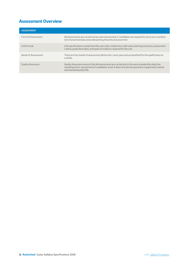# <span id="page-10-0"></span>**Assessment Overview**

| <b>ASSESSMENT</b>        |                                                                                                                                                                                                                                    |
|--------------------------|------------------------------------------------------------------------------------------------------------------------------------------------------------------------------------------------------------------------------------|
| Form of Assessment       | All assessments are carried out by external examiners. Candidates are required to carry out a combina-<br>tion of practical tasks and underpinning theoretical assessment.                                                         |
| Unit Format              | Unit specifications contain the title, unit code, credit level, credit value, learning outcomes, assessment<br>criteria, grade descriptor, and types of evidence required for the unit.                                            |
| Bands of Assessment      | There are four bands of assessment (distinction, merit, pass and unclassified) for the qualification as<br>a whole.                                                                                                                |
| <b>Quality Assurance</b> | Quality Assurance ensures that all assessments are carried out to the same standard by objective<br>sampling and re-assessment of candidates' work. A team of external examiners is appointed, trained<br>and standardised by RSL. |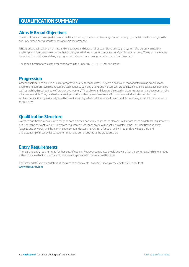# <span id="page-11-0"></span>**QUALIFICATION SUMMARY**

# **Aims & Broad Objectives**

The aim of popular music performance qualifications is to provide a flexible, progressive mastery approach to the knowledge, skills and understanding required for popular music performance.

RSL's graded qualifications motivate and encourage candidates of all ages and levels through a system of progressive mastery, enabling candidates to develop and enhance skills, knowledge and understanding in a safe and consistent way. The qualifications are beneficial for candidates wishing to progress at their own pace through smaller steps of achievement.

These qualifications are suitable for candidates in the Under 16, 16+, 16–18, 19+ age groups.

# **Progression**

Graded qualifications provide a flexible progression route for candidates. They are a positive means of determining progress and enable candidates to learn the necessary techniques to gain entry to FE and HE courses. Graded qualifications operate according to a well-established methodology of 'progressive mastery'. They allow candidates to be tested in discrete stages in the development of a wide range of skills. They tend to be more rigorous than other types of exams and for that reason industry is confident that achievement at the highest level gained by candidates of graded qualifications will have the skills necessary to work in other areas of the business.

# **Qualification Structure**

A graded qualification consists of a range of both practical and knowledge-based elements which are based on detailed requirements outlined in the relevant syllabus. Therefore, requirements for each grade will be set out in detail in the Unit Specifications below (page 17 and onwards) and the learning outcomes and assessment criteria for each unit will require knowledge, skills and understanding of these syllabus requirements to be demonstrated at the grade entered.

# **Entry Requirements**

There are no entry requirements for these qualifications. However, candidates should be aware that the content at the higher grades will require a level of knowledge and understanding covered in previous qualifications.

For further details on exam dates and fees and to apply to enter an examination, please visit the RSL website at [www.rslawards.com](http://www.rslawards.com/)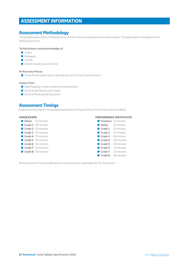# <span id="page-12-0"></span>**ASSESSMENT INFORMATION**

# **Assessment Methodology**

The graded examinations in Popular Music Performance are assessed via an examination. The examination is divided into the following sections:

#### Technical tests covering knowledge of:

- Scales
- **Arpeggios**
- Chords
- Stylistic Studies (Level 3 only)

## Performance Pieces

■ Three Performance pieces (two pieces can be 'Free Choice Pieces')

## Unseen Tests

- Sight Reading or Improvisation & Interpretation
- Quick Study Piece (Level 3 only)
- General Musicianship Questions

# **Assessment Timings**

Examination timings for the graded examinations in Popular Music Performance are as follows:

#### **GRADE EXAMS**

- Debut: 15 minutes
- Grade 1: 20 minutes
- Grade 2: 20 minutes
- Grade 3: 23 minutes
- Grade 4: 25 minutes
- Grade 5: 25 minutes
- Grade 6: 30 minutes
- Grade 7: 30 minutes
- Grade 8: 30 minutes

## **PERFORMANCE CERTIFICATES**

|                         | <b>Premiere: 10 minutes</b> |
|-------------------------|-----------------------------|
| Debut:                  | 12 minutes                  |
|                         | Grade 1: 15 minutes         |
|                         | Grade $2: 15$ minutes       |
|                         | Grade 3: 18 minutes         |
| $\blacksquare$ Grade 4: | 20 minutes                  |
| $\blacksquare$ Grade 5: | 20 minutes                  |
| ■ Grade 6:              | 23 minutes                  |
| Grade 7:                | 23 minutes                  |
|                         | <b>Grade 8:</b> 26 minutes  |
|                         |                             |

All assessment of these qualifications is external and is undertaken by RSL Examiners.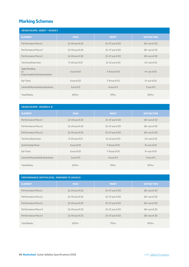# <span id="page-13-0"></span>**Marking Schemes**

| <b>GRADE EXAMS: DEBUT - GRADE 5</b>                   |                 |                     |                    |  |  |
|-------------------------------------------------------|-----------------|---------------------|--------------------|--|--|
| <b>ELEMENT</b>                                        | <b>PASS</b>     | <b>MERIT</b>        | <b>DISTINCTION</b> |  |  |
| Performance Piece 1                                   | 12-14 out of 20 | 15-17 out of 20     | $18+$ out of 20    |  |  |
| Performance Piece 2                                   | 12-14 out of 20 | 15-17 out of 20     | $18+$ out of 20    |  |  |
| Performance Piece 3                                   | 12-14 out of 20 | 15-17 out of 20     | $18+$ out of 20    |  |  |
| <b>Technical Exercises</b>                            | 9-10 out of 15  | $11-12$ out of $15$ | $13+$ out of $15$  |  |  |
| Sight Reading<br>or<br>Improvisation & Interpretation | 6 out of 10     | $7 - 8$ out of $10$ | $9+$ out of $10$   |  |  |
| Ear Tests                                             | 6 out of 10     | $7 - 8$ out of $10$ | $9+$ out of $10$   |  |  |
| <b>General Musicianship Questions</b>                 | 3 out of 5      | 4 out of 5          | 5 out of 5         |  |  |
| <b>Total Marks</b>                                    | $60%+$          | $74%+$              | $90%+$             |  |  |

| <b>GRADE EXAMS: GRADES 6-8</b>        |                    |                     |                    |  |  |  |
|---------------------------------------|--------------------|---------------------|--------------------|--|--|--|
| <b>ELEMENT</b>                        | <b>PASS</b>        | <b>MERIT</b>        | <b>DISTINCTION</b> |  |  |  |
| Performance Piece 1                   | $12-14$ out of 20  | $15-17$ out of 20   | $18 +$ out of 20   |  |  |  |
| Performance Piece 2                   | 12-14 out of 20    | 15-17 out of 20     | $18+$ out of 20    |  |  |  |
| Performance Piece 3                   | 12-14 out of 20    | 15-17 out of 20     | $18+$ out of 20    |  |  |  |
| <b>Technical Exercises</b>            | $9-10$ out of $15$ | $11-12$ out of $15$ | $13+$ out of $15$  |  |  |  |
| <b>Quick Study Piece</b>              | 6 out of 10        | 7-8 out of 10       | $9+$ out of $10$   |  |  |  |
| Ear Tests                             | 6 out of 10        | $7 - 8$ out of $10$ | $9+$ out of $10$   |  |  |  |
| <b>General Musicianship Questions</b> | 3 out of 5         | 4 out of 5          | 5 out of 5         |  |  |  |
| <b>Total Marks</b>                    | $60%+$             | $74%+$              | $90%+$             |  |  |  |

| <b>PERFORMANCE CERTIFICATES: PREMIERE TO GRADE 8</b> |                     |                   |                    |  |  |  |
|------------------------------------------------------|---------------------|-------------------|--------------------|--|--|--|
| <b>ELEMENT</b>                                       | <b>PASS</b>         | <b>MERIT</b>      | <b>DISTINCTION</b> |  |  |  |
| Performance Piece 1                                  | $12-14$ out of $20$ | 15-17 out of 20   | $18 +$ out of 20   |  |  |  |
| Performance Piece 2                                  | $12-14$ out of $20$ | $15-17$ out of 20 | $18 +$ out of 20   |  |  |  |
| Performance Piece 3                                  | 12-14 out of 20     | 15-17 out of 20   | $18+$ out of 20    |  |  |  |
| Performance Piece 4                                  | $12-14$ out of $20$ | $15-17$ out of 20 | $18+$ out of 20    |  |  |  |
| Performance Piece 5                                  | 12-14 out of 20     | 15-17 out of 20   | $18+$ out of 20    |  |  |  |
| <b>Total Marks</b>                                   | $60%+$              | $75%+$            | $90%+$             |  |  |  |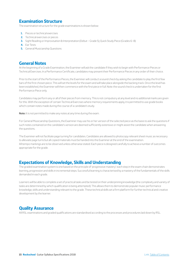# <span id="page-14-0"></span>**Examination Structure**

The examination structure for the grade examinations is shown below:

- **1.** Pieces or technical exercises
- **2.** Technical exercises or pieces
- **3.** Sight Reading or Improvisation & Interpretation (Debut Grade 5); Quick Study Piece (Grades 6–8)
- **4.** Ear Tests
- **5.** General Musicianship Questions

# **General Notes**

At the beginning of a Grade Examination, the Examiner will ask the candidate if they wish to begin with Performance Pieces or Technical Exercises. In a Performance Certificate, candidates may present their Performance Pieces in any order of their choice.

Prior to the start of the Performance Pieces, the Examiner will conduct a sound check by asking the candidate to play the first few bars of the first chosen piece. This will set the levels for the exam and will take place alongside the backing track. Once the level has been established, the Examiner will then commence with the first piece in full. Note: the sound check is undertaken for the first Performance Piece only.

Candidates may perform any or all of their pieces from memory. This is not compulsory at any level and no additional marks are given for this. With the exception of certain Technical Exercises where memory requirements apply, it is permitted to use grade books which contain notes made during the course of a candidate's study.

**Note:** It is not permitted to make any notes at any time during the exam.

For General Musicianship Questions, the Examiner may use his or her version of the selected piece as the basis to ask the questions if such notes contained on the candidate's version are deemed sufficiently extensive or might assist the candidate when answering the questions.

The Examiner will not facilitate page turning for candidates. Candidates are allowed to photocopy relevant sheet music as necessary to alleviate page turns but all copied materials must be handed into the Examiner at the end of the examination. All tempo markings are to be observed unless otherwise stated. Each piece is designed carefully to achieve a number of outcomes appropriate for the grade.

# **Expectations of Knowledge, Skills and Understanding**

The graded examination system is one based on the principle of 'progressive mastery': each step in the exam chain demonstrates learning, progression and skills in incremental steps. Successful learning is characterised by a mastery of the fundamentals of the skills demanded in each grade.

Learners will be able to complete a set of practical tasks and be tested on their underpinning knowledge (the complexity and variety of tasks are determined by which qualification is being attempted). This allows them to demonstrate popular music performance knowledge, skills and understanding relevant to the grade. These technical skills set a firm platform for further technical and creative development by the learner.

# **Quality Assurance**

All RSL examinations and graded qualifications are standardised according to the processes and procedures laid down by RSL.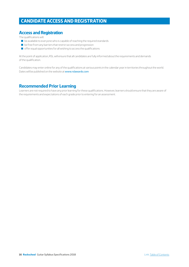# <span id="page-15-0"></span>**CANDIDATE ACCESS AND REGISTRATION**

# **Access and Registration**

The qualifications will:

- $\Box$  be available to everyone who is capable of reaching the required standards
- $\blacksquare$  be free from any barriers that restrict access and progression
- $\blacksquare$  offer equal opportunities for all wishing to access the qualifications

At the point of application, RSL will ensure that all candidates are fully informed about the requirements and demands of the qualification.

Candidates may enter online for any of the qualifications at various points in the calendar year in territories throughout the world. Dates will be published on the website at [www.rslawards.com](http://www.rslawards.com/)

# **Recommended Prior Learning**

Learners are not required to have any prior learning for these qualifications. However, learners should ensure that they are aware of the requirements and expectations of each grade prior to entering for an assessment.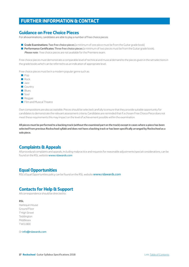# <span id="page-16-0"></span>**FURTHER INFORMATION & CONTACT**

# **Guidance on Free Choice Pieces**

For all examinations, candidates are able to play a number of free choice pieces:

**Grade Examinations: Two free choice pieces** (a minimum of one piece must be from the Guitar grade book)

Q **Performance Certificates:** Three free choice pieces (a minimum of two pieces must be from the Guitar grade book). *Please note:* free choice pieces are not available for the Premiere exam.

Free choice pieces must demonstrate a comparable level of technical and musical demand to the pieces given in the set selections in the grade books which can be referred to as an indication of appropriate level.

Free choice pieces must be in a modern popular genre such as:

- $\Box$  Pop
- Rock
- **Q** Jazz
- **Country**
- **Blues**
- **Soul**
- $\blacksquare$  Reggae
- **D** Film and Musical Theatre

Own compositions are also acceptable. Pieces should be selected carefully to ensure that they provide suitable opportunity for candidates to demonstrate the relevant assessment criteria. Candidates are reminded that if a chosen Free Choice Piece does not meet these requirements this may impact on the level of achievement possible within the examination.

**All pieces must be performed to a backing track (without the examined part on the track) except in cases where a piece has been selected from previous Rockschool syllabi and does not have a backing track or has been specifically arranged by Rockschool as a solo piece.**

# **Complaints & Appeals**

All procedural complaints and appeals, including malpractice and requests for reasonable adjustments/special considerations, can be found on the RSL website [www.rslawards.com](http://www.rslawards.com/)

# **Equal Opportunities**

RSL's Equal Opportunities policy can be found on the RSL website [www.rslawards.com](http://www.rslawards.com/)

# **Contacts for Help & Support**

All correspondence should be directed to:

**RSL**

Harlequin House Ground Floor 7 High Street **Teddinaton** Middlesex TW11 8EE

Or [info@rslawards.com](mailto:info@rslawards.com)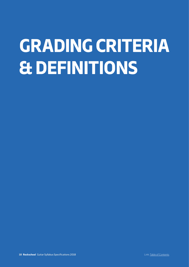# <span id="page-17-0"></span>**GRADING CRITERIA & DEFINITIONS**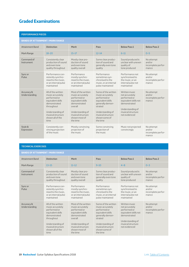# <span id="page-18-0"></span>**Graded Examinations**

| <b>PERFORMANCE PIECES</b>   |                                                                                                                                                                                |                                                                                                                                                                               |                                                                                                                                                                                   |                                                                                                                                                    |                                                     |  |  |
|-----------------------------|--------------------------------------------------------------------------------------------------------------------------------------------------------------------------------|-------------------------------------------------------------------------------------------------------------------------------------------------------------------------------|-----------------------------------------------------------------------------------------------------------------------------------------------------------------------------------|----------------------------------------------------------------------------------------------------------------------------------------------------|-----------------------------------------------------|--|--|
|                             | <b>BANDS OF ATTAINMENT / MARK RANGE</b>                                                                                                                                        |                                                                                                                                                                               |                                                                                                                                                                                   |                                                                                                                                                    |                                                     |  |  |
| <b>Attainment Band</b>      | <b>Distinction</b>                                                                                                                                                             | <b>Merit</b>                                                                                                                                                                  | Pass                                                                                                                                                                              | <b>Below Pass 1</b>                                                                                                                                | <b>Below Pass 2</b>                                 |  |  |
| Mark Range                  | $18 - 20$                                                                                                                                                                      | $15 - 17$                                                                                                                                                                     | $12 - 14$                                                                                                                                                                         | $6 - 11$                                                                                                                                           | $0 - 5$                                             |  |  |
| Command of<br>Instrument    | Consistently clear<br>production of sound<br>and even tone<br>quality throughout                                                                                               | Mostly clear pro-<br>duction of sound<br>and even tone<br>quality overall                                                                                                     | Some clear produc-<br>tion of sound and<br>generally even tone<br>quality                                                                                                         | Sound produced is<br>unclear with uneven<br>quality of<br>tone produced                                                                            | No attempt<br>and/or<br>incomplete perfor-<br>mance |  |  |
| Sync or<br>Pulse            | Performance con-<br>sistently synchro-<br>nised to the music,<br>or an internal pulse<br>maintained                                                                            | Performance<br>mostly synchro-<br>nised to the music,<br>or an internal pulse<br>maintained                                                                                   | Performance<br>sometimes syn-<br>chronised to the<br>music, or an internal<br>pulse maintained                                                                                    | Performance not<br>synchronised to<br>the music, or an<br>internal pulse not<br>maintained                                                         | No attempt<br>and/or<br>incomplete perfor-<br>mance |  |  |
| Accuracy &<br>Understanding | All of the written<br>music accurately<br>performed or<br>equivalent skills<br>demonstrated<br>throughout<br>Understanding of<br>musical structure<br>shown all of the<br>time | Most of the written<br>music accurately<br>performed or<br>equivalent skills<br>demonstrated<br>overall<br>Understanding of<br>musical structure<br>shown most of<br>the time | Some of the written<br>music accurately<br>performed or<br>equivalent skills<br>qenerally demon-<br>strated<br>Understanding of<br>musical structure<br>shown some of<br>the time | Written music<br>not accurately<br>performed or<br>equivalent skills not<br>demonstrated<br>Understanding of<br>musical structure<br>not evidenced | No attempt<br>and/or<br>incomplete perfor-<br>mance |  |  |
| Style &<br>Expression       | Consistently con-<br>vincing projection<br>of the music                                                                                                                        | Mostly convincing<br>projection of<br>the music                                                                                                                               | Some convincing<br>projection of<br>the music                                                                                                                                     | Music not projected<br>convincingly                                                                                                                | No attempt<br>and/or<br>incomplete perfor-<br>mance |  |  |

## **TECHNICAL EXERCISES**

## **BANDS OF ATTAINMENT / MARK RANGE**

| <b>Attainment Band</b>      | <b>Distinction</b>                                                                                                                                                             | <b>Merit</b>                                                                                                                                                                  | Pass                                                                                                                                                                              | <b>Below Pass 1</b>                                                                                                                                | <b>Below Pass 2</b>                                 |
|-----------------------------|--------------------------------------------------------------------------------------------------------------------------------------------------------------------------------|-------------------------------------------------------------------------------------------------------------------------------------------------------------------------------|-----------------------------------------------------------------------------------------------------------------------------------------------------------------------------------|----------------------------------------------------------------------------------------------------------------------------------------------------|-----------------------------------------------------|
| Mark Range                  | $13 - 15$                                                                                                                                                                      | $11 - 12$                                                                                                                                                                     | $9 - 10$                                                                                                                                                                          | $4 - 8$                                                                                                                                            | $0 - 3$                                             |
| Command of<br>Instrument    | Consistently clear<br>production of sound<br>and even tone<br>quality throughout                                                                                               | Mostly clear pro-<br>duction of sound<br>and even tone<br>quality overall                                                                                                     | Some clear produc-<br>tion of sound and<br>generally even tone<br>quality                                                                                                         | Sound produced is<br>unclear with uneven<br>quality of<br>tone produced                                                                            | No attempt<br>and/or<br>incomplete perfor-<br>mance |
| Sync or<br>Pulse            | Performance con-<br>sistently synchro-<br>nised to the music,<br>or an internal pulse<br>maintained                                                                            | Performance<br>mostly synchro-<br>nised to the music.<br>or an internal pulse<br>maintained                                                                                   | Performance<br>sometimes svn-<br>chronised to the<br>music, or an internal<br>pulse maintained                                                                                    | Performance not<br>synchronised to<br>the music, or an<br>internal pulse not<br>maintained                                                         | No attempt<br>and/or<br>incomplete perfor-<br>mance |
| Accuracy &<br>Understanding | All of the written<br>music accurately<br>performed or<br>equivalent skills<br>demonstrated<br>throughout<br>Understanding of<br>musical structure<br>shown all of the<br>time | Most of the written<br>music accurately<br>performed or<br>equivalent skills<br>demonstrated<br>overall<br>Understanding of<br>musical structure<br>shown most of<br>the time | Some of the written<br>music accurately<br>performed or<br>equivalent skills<br>generally demon-<br>strated<br>Understanding of<br>musical structure<br>shown some of<br>the time | Written music<br>not accurately<br>performed or<br>equivalent skills not<br>demonstrated<br>Understanding of<br>musical structure<br>not evidenced | No attempt<br>and/or<br>incomplete perfor-<br>mance |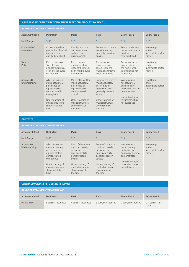## **SIGHT READING / IMPROVISATION & INTERPRETATION / QUICK STUDY PIECE**

# **BANDS OF ATTAINMENT / MARK RANGE**

| PANDJ VI AT IAINPIENT / PANN NANVE |                                                                                                                                                                                |                                                                                                                                                                               |                                                                                                                                                                                   |                                                                                                                                                    |                                                     |  |
|------------------------------------|--------------------------------------------------------------------------------------------------------------------------------------------------------------------------------|-------------------------------------------------------------------------------------------------------------------------------------------------------------------------------|-----------------------------------------------------------------------------------------------------------------------------------------------------------------------------------|----------------------------------------------------------------------------------------------------------------------------------------------------|-----------------------------------------------------|--|
| <b>Attainment Band</b>             | <b>Distinction</b>                                                                                                                                                             | <b>Merit</b>                                                                                                                                                                  | Pass                                                                                                                                                                              | <b>Below Pass 1</b>                                                                                                                                | <b>Below Pass 2</b>                                 |  |
| Mark Range                         | $9 - 10$                                                                                                                                                                       | $7 - 8$                                                                                                                                                                       | 6                                                                                                                                                                                 | $3 - 5$                                                                                                                                            | $0 - 2$                                             |  |
| Command of<br>Instrument           | Consistently clear<br>production of sound<br>and even tone<br>quality throughout                                                                                               | Mostly clear pro-<br>duction of sound<br>and even tone<br>quality overall                                                                                                     | Some clear produc-<br>tion of sound and<br>generally even tone<br>quality                                                                                                         | Sound produced is<br>unclear with uneven<br>quality of<br>tone produced                                                                            | No attempt<br>and/or<br>incomplete perfor-<br>mance |  |
| Sync or<br>Pulse                   | Performance con-<br>sistently synchro-<br>nised to the music,<br>or an internal pulse<br>maintained                                                                            | Performance<br>mostly synchro-<br>nised to the music.<br>or an internal pulse<br>maintained                                                                                   | Performance<br>sometimes syn-<br>chronised to the<br>music, or an internal<br>pulse maintained                                                                                    | Performance not<br>synchronised to<br>the music, or an<br>internal pulse not<br>maintained                                                         | No attempt<br>and/or<br>incomplete perfor-<br>mance |  |
| Accuracy &<br>Understanding        | All of the written<br>music accurately<br>performed or<br>equivalent skills<br>demonstrated<br>throughout<br>Understanding of<br>musical structure<br>shown all of the<br>time | Most of the written<br>music accurately<br>performed or<br>equivalent skills<br>demonstrated<br>overall<br>Understanding of<br>musical structure<br>shown most of<br>the time | Some of the written<br>music accurately<br>performed or<br>equivalent skills<br>generally demon-<br>strated<br>Understanding of<br>musical structure<br>shown some of<br>the time | Written music<br>not accurately<br>performed or<br>equivalent skills not<br>demonstrated<br>Understanding of<br>musical structure<br>not evidenced | No attempt<br>and/or<br>incomplete perfor-<br>mance |  |

### **EAR TESTS**

**BANDS OF ATTAINMENT / MARK RANGE**

| <b>Attainment Band</b>             | <b>Distinction</b>                                                                                                                                                             | <b>Merit</b>                                                                                                                                                                  | Pass                                                                                                                                                                              | <b>Below Pass 1</b>                                                                                                                                | <b>Below Pass 2</b>                                 |
|------------------------------------|--------------------------------------------------------------------------------------------------------------------------------------------------------------------------------|-------------------------------------------------------------------------------------------------------------------------------------------------------------------------------|-----------------------------------------------------------------------------------------------------------------------------------------------------------------------------------|----------------------------------------------------------------------------------------------------------------------------------------------------|-----------------------------------------------------|
| Mark Range                         | $9 - 10$                                                                                                                                                                       | $7 - 8$                                                                                                                                                                       | 6                                                                                                                                                                                 | $3 - 5$                                                                                                                                            | $0 - 2$                                             |
| Accuracy &<br><b>Understanding</b> | All of the written<br>music accurately<br>performed or<br>equivalent skills<br>demonstrated<br>throughout<br>Understanding of<br>musical structure<br>shown all of the<br>time | Most of the written<br>music accurately<br>performed or<br>equivalent skills<br>demonstrated<br>overall<br>Understanding of<br>musical structure<br>shown most of<br>the time | Some of the written<br>music accurately<br>performed or<br>equivalent skills<br>qenerally demon-<br>strated<br>Understanding of<br>musical structure<br>shown some of<br>the time | Written music<br>not accurately<br>performed or<br>equivalent skills not<br>demonstrated<br>Understanding of<br>musical structure<br>not evidenced | No attempt<br>and/or<br>incomplete perfor-<br>mance |

| <b>GENERAL MUSICIANSHIP QUESTIONS (GMQS)</b> |                     |                     |                     |                     |                            |  |  |
|----------------------------------------------|---------------------|---------------------|---------------------|---------------------|----------------------------|--|--|
| <b>BANDS OF ATTAINMENT / MARK RANGE</b>      |                     |                     |                     |                     |                            |  |  |
| <b>Attainment Band</b>                       | <b>Distinction</b>  | <b>Merit</b>        | Pass                | <b>Below Pass 1</b> | <b>Below Pass 2</b>        |  |  |
| Mark Range                                   | 5 correct responses | 4 correct responses | 3 correct responses | 2 correct responses | 0-1 correct re-<br>sponses |  |  |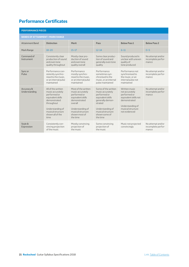# <span id="page-20-0"></span>**Performance Certificates**

## **PERFORMANCE PIECES**

#### **BANDS OF ATTAINMENT / MARK RANGE**

| BANDS OF ATTAINMENT / MARK RANGE |                                                                                                                                                                                |                                                                                                                                                                               |                                                                                                                                                                                   |                                                                                                                                                    |                                                  |
|----------------------------------|--------------------------------------------------------------------------------------------------------------------------------------------------------------------------------|-------------------------------------------------------------------------------------------------------------------------------------------------------------------------------|-----------------------------------------------------------------------------------------------------------------------------------------------------------------------------------|----------------------------------------------------------------------------------------------------------------------------------------------------|--------------------------------------------------|
| <b>Attainment Band</b>           | <b>Distinction</b>                                                                                                                                                             | <b>Merit</b>                                                                                                                                                                  | Pass                                                                                                                                                                              | <b>Below Pass 1</b>                                                                                                                                | <b>Below Pass 2</b>                              |
| Mark Range                       | $18 - 20$                                                                                                                                                                      | $15 - 17$                                                                                                                                                                     | $12 - 14$                                                                                                                                                                         | $6 - 11$                                                                                                                                           | $0 - 5$                                          |
| Command of<br>Instrument         | Consistently clear<br>production of sound<br>and even tone<br>quality throughout                                                                                               | Mostly clear pro-<br>duction of sound<br>and even tone<br>quality overall                                                                                                     | Some clear produc-<br>tion of sound and<br>generally even tone<br>quality                                                                                                         | Sound produced is<br>unclear with uneven<br>quality of<br>tone produced                                                                            | No attempt and/or<br>incomplete perfor-<br>mance |
| Sync or<br>Pulse                 | Performance con-<br>sistently synchro-<br>nised to the music,<br>or an internal pulse<br>maintained                                                                            | Performance<br>mostly synchro-<br>nised to the music.<br>or an internal pulse<br>maintained                                                                                   | Performance<br>sometimes syn-<br>chronised to the<br>music, or an internal<br>pulse maintained                                                                                    | Performance not<br>synchronised to<br>the music, or an<br>internal pulse not<br>maintained                                                         | No attempt and/or<br>incomplete perfor-<br>mance |
| Accuracy &<br>Understanding      | All of the written<br>music accurately<br>performed or<br>equivalent skills<br>demonstrated<br>throughout<br>Understanding of<br>musical structure<br>shown all of the<br>time | Most of the written<br>music accurately<br>performed or<br>equivalent skills<br>demonstrated<br>overall<br>Understanding of<br>musical structure<br>shown most of<br>the time | Some of the written<br>music accurately<br>performed or<br>equivalent skills<br>generally demon-<br>strated<br>Understanding of<br>musical structure<br>shown some of<br>the time | Written music<br>not accurately<br>performed or<br>equivalent skills not<br>demonstrated<br>Understanding of<br>musical structure<br>not evidenced | No attempt and/or<br>incomplete perfor-<br>mance |
| Style &<br>Expression            | Consistently con-<br>vincing projection<br>of the music                                                                                                                        | Mostly convincing<br>projection of<br>the music                                                                                                                               | Some convincing<br>projection of<br>the music                                                                                                                                     | Music not projected<br>convincingly                                                                                                                | No attempt and/or<br>incomplete perfor-<br>mance |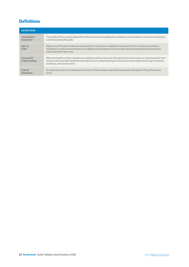# <span id="page-21-0"></span>**Definitions**

| <b>DEFINITIONS</b>          |                                                                                                                                                                                                                                                                                     |
|-----------------------------|-------------------------------------------------------------------------------------------------------------------------------------------------------------------------------------------------------------------------------------------------------------------------------------|
| Command of<br>Instrument    | The quality of the sound produced from the instrument, including the consistency of sound/tone, control of sound/tone<br>commensurate with grade.                                                                                                                                   |
| Sync or<br>Pulse            | Alignment of the performance to backing track, metronome or applied to a solo performance, observing notation<br>markings. For unaccompanied pieces candidates should maintain a secure internal pulse and adjust the pulse where<br>instructed within the music.                   |
| Accuracy &<br>Understanding | Representing the written notation accurately, except by instruction through performance notes, or interpreting the writ-<br>ten part with equivalent skills demonstrated. Secure understanding of musical structure evidenced through transitions<br>of phrases, bars and sections. |
| Style &<br>Expression       | An expressive and commanding performance of the notated material dictated by the demands of the performance<br>piece.                                                                                                                                                               |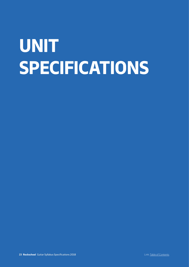# <span id="page-22-0"></span>**UNIT SPECIFICATIONS**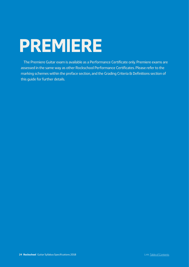# <span id="page-23-0"></span>**PREMIERE**

The Premiere Guitar exam is available as a Performance Certificate only. Premiere exams are assessed in the same way as other Rockschool Performance Certificates. Please refer to the marking schemes within the preface section, and the Grading Criteria & Definitions section of this guide for further details.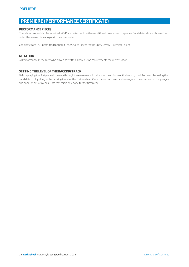# **PREMIERE (PERFORMANCE CERTIFICATE)**

## **PERFORMANCE PIECES**

There is a choice of six pieces in the Let's Rock Guitar book, with an additional three ensemble pieces. Candidates should choose five out of these nine pieces to play in the examination.

Candidates are NOT permitted to submit Free Choice Pieces for the Entry Level 2 (Premiere) exam.

## **NOTATION**

All Performance Pieces are to be played as written. There are no requirements for improvisation.

## **SETTING THE LEVEL OF THE BACKING TRACK**

Before playing the first piece all the way through the examiner will make sure the volume of the backing track is correct by asking the candidate to play along to the backing track for the first few bars. Once the correct level has been agreed the examiner will begin again and conduct all five pieces. Note that this is only done for the first piece.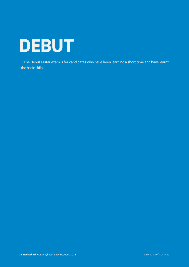<span id="page-25-0"></span>

The Debut Guitar exam is for candidates who have been learning a short time and have learnt the basic skills.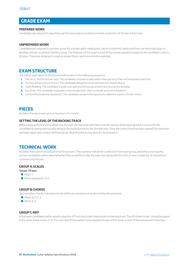# **GRADE EXAM**

## **PREPARED WORK**

Candidates are required to play three performance pieces and demonstrate a selection of Technical Exercises.

## **UNPREPARED WORK**

Candidates are required to use their guitar for a simple sight-reading test, which is rhythmic reading and two ear tests that begin to develop melodic recall and rhythmic sense. The final part of the exam is a set of five simple questions based on the candidate's choice of piece. These are designed to explore simple theory and instrument knowledge.

# **EXAM STRUCTURE**

The Debut exam lasts 15 minutes and will be taken in the following sequence:

- **1.** Pieces or Technical Exercises: The candidate chooses to play either their pieces or their technical exercises first
- **2.** Technical Exercises or Pieces: The candidate will perform the element not chosen above
- **3.** Sight Reading: The candidate is given a simple and previously unseen test to practice and play
- **4.** Ear Tests: The candidate responds to two simple tests. One is melodic and one is rhythmic
- **5.** General Musicianship Questions: The candidate answers five questions related to a piece of their choice

# **PIECES**

At Debut the pieces last up to a maximum of 1 minute.

#### **SETTING THE LEVEL OF THE BACKING TRACK**

*Before playing the first piece all the way through, the examiner will make sure the volume of the backing track is correct for the*  candidate by asking them to play along to the backing track for the first few bars. Once the correct level has been agreed, the examiner *will begin again and conduct all three pieces. Note that this is only done for the first piece.* 

# **TECHNICAL WORK**

At Debut there are three groups of technical work. The examiner will ask for a selection from each group, and before starting this section candidates will be asked whether they would like to play the exercises along with the click or hear a single bar of click before commencing the test.

## **GROUP A: SCALES**

- **Tempo: 70 bpm**
- **Major: C**
- $\blacksquare$  Minor pentatonic: A, E

## **GROUP B: CHORDS**

Open position chords. Individual chords will be strummed once as directed by the examiner

- Major: A, D, C, G
- Minor: A, E

## **GROUP C: RIFF**

In the exam candidates will be asked to play the riff from the Grade Debut book to a backing track. The riff shown in bar 1 should be played in the same shape in bars 2–4. The root note of the pattern to be played is shown in the music in each of the subsequent three bars.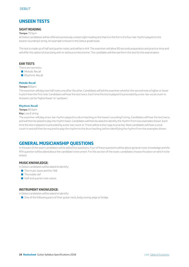# **UNSEEN TESTS**

## **SIGHT READING**

### **Tempo:** 70 bpm

At Debut candidates will be offered a previously unseen sight reading test that is in the form of a four-bar rhythm played on the lowest-sounding E string. An example is shown in the Debut grade book.

The test is made up of half and quarter notes, and will be in 4/4. The examiner will allow 90 seconds preparation and practice time and will offer the option of practising with or without a metronome. The candidate will then perform the test for the examination.

## **EAR TESTS**

There are two tests:

- **Melodic Recall**
- $\blacksquare$  Rhythmic Recall

## **Melodic Recall**

#### **Tempo:** 85bpm

The examiner will play two half notes one after the other. Candidates will tell the examiner whether the second note is higher or lower in pitch than the first note. Candidates will hear the test twice. Each time the test is played it is preceded by a one-bar vocal count-in. Answers can be 'higher/lower' or 'up/down'.

#### **Rhythmic Recall**

**Tempo:** 80 bpm

#### **Key:** Low E string

The examiner will play a two-bar rhythm played to a drum backing on the lowest-sounding E string. Candidates will hear the test twice, and will then be asked to play the rhythm back. Candidates will then be asked to identify the rhythm from two examples shown. Each time the test is played it is preceded by a one-bar count-in. There will be a short gap to practise. Next candidates will hear a vocal count-in and will then be required to play the rhythm to the drum backing, before identifying the rhythm from the examples shown.

# **GENERAL MUSICIANSHIP QUESTIONS**

In this part of the exam candidates will be asked five questions. Four of these questions will be about general music knowledge and the fifth question will be asked about the candidate's instrument. For this section of the exam, candidates choose the piece on which to be tested.

## **MUSIC KNOWLEDGE:**

In Debut candidates will be asked to identify:

- $\blacksquare$  The music stave and the TAB
- $\blacksquare$  The treble clef
- $\blacksquare$  Half and quarter note values

## **INSTRUMENT KNOWLEDGE:**

In Debut candidates will be asked to identify:

■ One of the following parts of their guitar: neck, body, tuning-pegs or bridge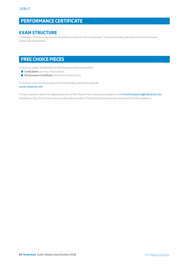# **PERFORMANCE CERTIFICATE**

# **EXAM STRUCTURE**

Candidates choose to play five pieces lasting a maximum of 1 minute each. There are no other elements in the Performance Certificate examination.

# **FREE CHOICE PIECES**

There is an option of playing free choice pieces in the examination:

- Grade Exam: two free choice pieces
- **Performance Certificate:** three free choice pieces

Criteria for own free choice pieces can be found by visiting the website: [www.rslawards.com](http://www.rockschool.co.uk)

For any questions about the appropriateness of the chosen free choice pieces, please email [freechoicepieces@rslawards.com](mailto:freechoicepieces%40rslawards.com?subject=), including a copy of the score and any audio, and a member of the Rockschool team will respond with further guidance.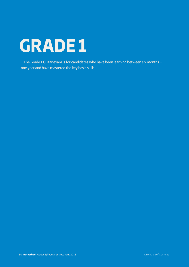# <span id="page-29-0"></span>**GRADE 1**

The Grade 1 Guitar exam is for candidates who have been learning between six months – one year and have mastered the key basic skills.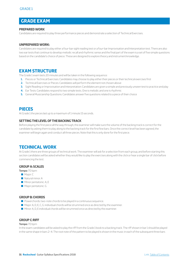# **GRADE EXAM**

## **PREPARED WORK**

Candidates are required to play three performance pieces and demonstrate a selection of Technical Exercises.

### **UNPREPARED WORK:**

Candidates are required to play either a four-bar sight reading test or a four-bar Improvisation and Interpretation test. There are also two ear tests that continue to develop melodic recall and rhythmic sense and the final part of the exam is a set of five simple questions based on the candidate's choice of piece. These are designed to explore theory and instrument knowledge.

# **EXAM STRUCTURE**

The Grade 1 exam lasts 20 minutes and will be taken in the following sequence:

- **1.** Pieces or Technical Exercises: Candidates may choose to play either their pieces or their technical exercises first
- **2.** Technical Exercises or Pieces: Candidates will perform the element not chosen above
- **3.** Sight Reading or Improvisation and Interpretation: Candidates are given a simple and previously unseen test to practice and play
- **4.** Ear Tests: Candidates respond to two simple tests. One is melodic and one is rhythmic
- **5.** General Musicianship Questions: Candidates answer five questions related to a piece of their choice

# **PIECES**

At Grade 1 the pieces last up to a maximum of 1 minute 15 seconds.

#### **SETTING THE LEVEL OF THE BACKING TRACK**

Before playing the first piece all the way through, the examiner will make sure the volume of the backing track is correct for the candidate by asking them to play along to the backing track for the first few bars. Once the correct level has been agreed, the examiner will begin again and conduct all three pieces. Note that this is only done for the first piece.

# **TECHNICAL WORK**

At Grade 1 there are three groups of technical work. The examiner will ask for a selection from each group, and before starting this section candidates will be asked whether they would like to play the exercises along with the click or hear a single bar of click before commencing the test.

## **GROUP A: SCALES**

**Tempo:** 70 bpm

- **Major: C**
- **Natural minor: A**
- $\blacksquare$  Minor pentatonic: A, E
- **Major pentatonic: G**

## **GROUP B: CHORDS**

- $\blacksquare$  Powerchords: two-note chords to be played in a continuous sequence.
- $\blacksquare$  Major: A, D, E, C, G; individual chords will be strummed once as directed by the examiner.
- $\blacksquare$  Minor: A, D, E individual chords will be strummed once as directed by the examiner.

## **GROUP C: RIFF**

#### **Tempo:** 70 bpm

In the exam candidates will be asked to play the riff from the Grade 1 book to a backing track. The riff shown in bar 1 should be played in the same shape in bars 2–4. The root note of the pattern to be played is shown in the music in each of the subsequent three bars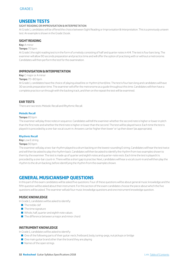# **UNSEEN TESTS**

## SIGHT READING OR IMPROVISATION & INTERPRETATION

At Grade 1, candidates will be offered the choice between Sight Reading or Improvisation & Interpretation. This is a previously unseen test. An example is shown in the Grade 1 book.

## **SIGHT READING**

**Key:** A minor

#### **Tempo:** 70 bpm

At Grade 1 the sight reading test is in the form of a melody consisting of half and quarter notes in 4/4. The test is four bars long. The examiner will allow 90 seconds preparation and practice time and will offer the option of practising with or without a metronome. Candidates will then perform the test for the examination.

## **IMPROVISATION & INTERPRETATION**

**Key:** C major or A minor

### **Tempo:** 70–80 bpm

At Grade 1, candidates have the choice of playing a lead line or rhythm (chord) line. The test is four bars long and candidates will have 30 seconds preparation time. The examiner will offer the metronome as a guide throughout this time. Candidates will then have a complete practice run through with the backing track, and then on the repeat the test will be examined.

## **EAR TESTS**

There are two tests: Melodic Recall and Rhythmic Recall.

#### **Melodic Recall**

#### **Tempo:** 85 bpm

The examiner will play three notes in sequence. Candidates will tell the examiner whether the second note is higher or lower in pitch than the first note and whether the third note is higher or lower than the second. The test will be played twice. Each time the test is played it is preceded by a one-bar vocal count-in. Answers can be 'higher then lower' or 'up then down' (as appropriate).

#### **Rhythmic Recall**

**Key:** Low E string

#### **Tempo:** 90 bpm

The examiner will play a two-bar rhythm played to a drum backing on the lowest-sounding E string. Candidates will hear the test twice and will then be asked to play the rhythm back. Candidates will then be asked to identify the rhythm from two examples shown to them by the examiner. The test is made up of quarter and eighth notes and quarter-note rests. Each time the test is played it is preceded by a one-bar count-in. There will be a short gap to practise. Next, candidates will hear a vocal count-in and will then play the rhythm to the drum backing, before identifying the rhythm from the examples shown.

# **GENERAL MUSICIANSHIP QUESTIONS**

In this part of the exam candidates will be asked five questions. Four of these questions will be about general music knowledge and the fifth question will be asked about their instrument. For this section of the exam candidates choose the piece about which the five questions will be asked. The examiner will ask four music knowledge questions and one instrument knowledge question.

## **MUSIC KNOWLEDGE**

In Grade 1, candidates will be asked to identify:

- $\blacksquare$  The treble clef
- $\blacksquare$  The time signature
- $\blacksquare$  Whole, half, quarter and eighth note values
- $\blacksquare$  The difference between a major and minor chord

## **INSTRUMENT KNOWLEDGE**

In Grade 1, candidates will be asked to identify:

- One of the following parts of their guitar: neck, fretboard, body, tuning-pegs, nut pickups or bridge
- $\Box$  One main guitar brand other than the brand they are playing
- $\blacksquare$  Names of the open strings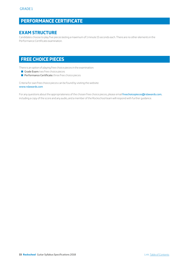# **PERFORMANCE CERTIFICATE**

# **EXAM STRUCTURE**

Candidates choose to play five pieces lasting a maximum of 1 minute 15 seconds each. There are no other elements in the Performance Certificate examination.

# **FREE CHOICE PIECES**

There is an option of playing free choice pieces in the examination:

- Grade Exam: two free choice pieces
- **Performance Certificate:** three free choice pieces

Criteria for own free choice pieces can be found by visiting the website: www.rslawards.com

For any questions about the appropriateness of the chosen free choice pieces, please email [freechoicepieces@rslawards.com](mailto:freechoicepieces%40rslawards.com?subject=), including a copy of the score and any audio, and a member of the Rockschool team will respond with further guidance.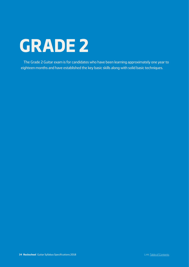# <span id="page-33-0"></span>**GRADE 2**

The Grade 2 Guitar exam is for candidates who have been learning approximately one year to eighteen months and have established the key basic skills along with solid basic techniques.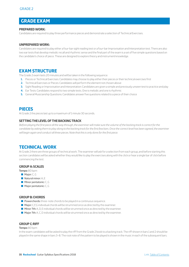# **GRADE EXAM**

## **PREPARED WORK:**

Candidates are required to play three performance pieces and demonstrate a selection of Technical Exercises.

## **UNPREPARED WORK:**

Candidates are required to play either a four-bar sight reading test or a four-bar Improvisation and Interpretation test. There are also two ear tests that develop melodic recall and rhythmic sense and the final part of the exam is a set of five simple questions based on the candidate's choice of piece. These are designed to explore theory and instrument knowledge.

# **EXAM STRUCTURE**

The Grade 2 exam lasts 20 minutes and will be taken in the following sequence:

- **1.** Pieces or Technical Exercises: Candidates may choose to play either their pieces or their technical exercises first
- **2.** Technical Exercises or Pieces: Candidates will perform the element not chosen above
- **3.** Sight Reading or Improvisation and Interpretation: Candidates are given a simple and previously unseen test to practice and play
- **4.** Ear Tests: Candidates respond to two simple tests. One is melodic and one is rhythmic
- **5.** General Musicianship Questions: Candidates answer five questions related to a piece of their choice

# **PIECES**

At Grade 2 the pieces last up to a maximum of 1 minute 30 seconds.

#### **SETTING THE LEVEL OF THE BACKING TRACK**

*Before playing the first piece all the way through, the examiner will make sure the volume of the backing track is correct for the*  candidate by asking them to play along to the backing track for the first few bars. Once the correct level has been agreed, the examiner *will begin again and conduct all three pieces. Note that this is only done for the first piece.* 

# **TECHNICAL WORK**

At Grade 2 there are three groups of technical work. The examiner will ask for a selection from each group, and before starting this section candidates will be asked whether they would like to play the exercises along with the click or hear a single bar of click before commencing the test.

## **GROUP A: SCALES**

**Tempo:** 80 bpm

- $\blacksquare$  Major: C, G
- $\blacksquare$  Natural minor: A, E
- $\blacksquare$  Minor pentatonic: C, G
- $\blacksquare$  Major pentatonic:  $C, G$

## **GROUP B: CHORDS**

- $\blacksquare$  Powerchords: three-note chords to be played in a continuous sequence.
- $\blacksquare$  Major: C,F,G individual chords will be strummed once as directed by the examiner.
- $\blacksquare$  Minor 7th: A, D, E individual chords will be strummed once as directed by the examiner.
- $\blacksquare$  Major 7th: A, C, D individual chords will be strummed once as directed by the examiner.

# **GROUP C: RIFF**

#### **Tempo:** 80 bpm

In the exam candidates will be asked to play the riff from the Grade 2 book to a backing track. The riff shown in bars 1 and 2 should be played in the same shape in bars 3–8. The root note of the pattern to be played is shown in the music in each of the subsequent bars.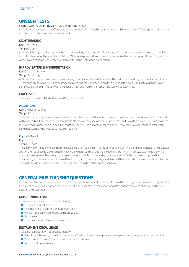# **UNSEEN TESTS**

## SIGHT READING OR IMPROVISATION & INTERPRETATION

At Grade 2, candidates will be offered the choice between Sight Reading or Improvisation & Interpretation. This is a previously unseen test. An example is shown in the Grade 2 book.

## **SIGHT READING**

**Key:** C or G major

#### **Tempo:** 70 bpm

At Grade 2 the sight reading test is in the form of a melody consisting of half, quarter eighth notes and quarter-note rests in 4/4. The test is four bars long. The examiner will allow 90 seconds preparation and practice time and will offer the option of practising with or without a metronome. Candidates will then perform the test for the examination.

## **IMPROVISATION & INTERPRETATION**

**Key:** G major or E minor

**Tempo:** 80–90 bpm

At Grade 2, candidates have the choice of playing a lead line or rhythm (chord) line. The test is four bars long and candidates will have 30 seconds preparation time. The examiner will offer the metronome as a guide throughout this time. Candidates will then have a complete practice run through with the backing track and then on the repeat, the test will be examined.

#### **EAR TESTS**

There are two tests:, Melodic Recall and Rhythmic Recall.

#### **Melodic Recall**

**Key:** C Minor pentatonic

#### **Tempo:** 85 bpm

The examiner will play a two-bar melody with a drum backing. The first note of the melody will be the root note and the first interval will be ascending. Candidates will be required to play the melody back on their instrument. The test will be played twice. Each time the test is played it is preceded by a one-bar count-in. There will be a short gap for to practise, followed by a vocal count-in after which candidates will play the melody to the drum backing.

#### **Rhythmic Recall**

**Key:** E string

#### **Tempo:** 90 bpm

The examiner will play a two-bar rhythm played to a drum backing on the lowest-sounding E string. Candidates will hear the test twice and will then be asked to play the rhythm back. Candidates will then be asked to identify the rhythm from two examples shown to them by the examiner. The test is made up of quarter and eighth notes and quarter-note rests. Each time the test is played it is preceded by a one-bar count-in. There will be a short gap to practise. Next, candidates will hear a vocal count-in and will then play the rhythm to the drum backing, before identifying the rhythm from the examples shown.

# **GENERAL MUSICIANSHIP QUESTIONS**

In this part of the exam candidates will be asked five questions. Four of these questions will be about general music knowledge and the fifth question will be asked about their instrument. For this section of the exam candidates choose the piece about which the five questions will be asked.

## **MUSIC KNOWLEDGE**

In Grade 2, candidates will be asked to identify:

- $\blacksquare$  The pitch name of notes
- $\blacksquare$  The meaning of the time signature marking
- Whole, half, quarter, eighth and 16th note values
- $\blacksquare$  Rest values
- $\blacksquare$  The construction of a major or minor chord

## **INSTRUMENT KNOWLEDGE**

In Grade 2, candidates will be asked to identify:

- Q One of the following parts of their guitar: neck, fretboard, body, tuning-pegs, scratch plate, nut, pickups, jack socket or bridge
- $\blacksquare$  The location of the volume and tone controls on their quitar
- $\blacksquare$  Names of all open strings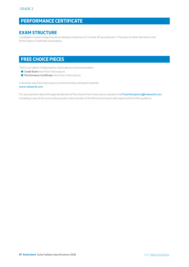# **PERFORMANCE CERTIFICATE**

# **EXAM STRUCTURE**

Candidates choose to play five pieces lasting a maximum of 1 minute 30 seconds each. There are no other elements in the Performance Certificate examination.

# **FREE CHOICE PIECES**

There is an option of playing free choice pieces in the examination:

- Grade Exam: two free choice pieces
- **Performance Certificate:** three free choice pieces

Criteria for own free choice pieces can be found by visiting the website: www.rslawards.com

For any questions about the appropriateness of the chosen free choice pieces, please email [freechoicepieces@rslawards.com](mailto:freechoicepieces%40rslawards.com?subject=), including a copy of the score and any audio, and a member of the Rockschool team will respond with further guidance.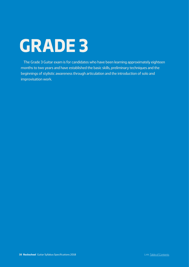# <span id="page-37-0"></span>**GRADE 3**

The Grade 3 Guitar exam is for candidates who have been learning approximately eighteen months to two years and have established the basic skills, preliminary techniques and the beginnings of stylistic awareness through articulation and the introduction of solo and improvisation work.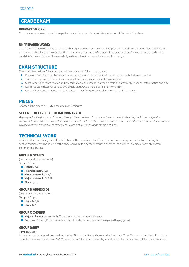# **GRADE EXAM**

## **PREPARED WORK:**

Candidates are required to play three performance pieces and demonstrate a selection of Technical Exercises.

## **UNPREPARED WORK:**

Candidates are required to play either a four-bar sight reading test or a four-bar Improvisation and Interpretation test. There are also two ear tests that develop melodic recall and rhythmic sense and the final part of the exam is a set of five questions based on the candidate's choice of piece. These are designed to explore theory and instrument knowledge.

# **EXAM STRUCTURE**

The Grade 3 exam lasts 25 minutes and will be taken in the following sequence:

- **1.** Pieces or Technical Exercises: Candidates may choose to play either their pieces or their technical exercises first
- **2.** Technical Exercises or Pieces: Candidates will perform the element not chosen above
- **3.** Sight Reading or Improvisation and Interpretation: Candidates are given a simple and previously unseen test to practice and play
- **4.** Ear Tests: Candidates respond to two simple tests. One is melodic and one is rhythmic
- **5.** General Musicianship Questions: Candidates answer five questions related to a piece of their choice

# **PIECES**

At Grade 3 the pieces last up to a maximum of 2 minutes.

## **SETTING THE LEVEL OF THE BACKING TRACK**

*Before playing the first piece all the way through, the examiner will make sure the volume of the backing track is correct for the candidate by asking them to play along to the backing track for the first few bars. Once the correct level has been agreed, the examiner will begin again and conduct all three pieces. Note that this is only done for the first piece.* 

# **TECHNICAL WORK**

At Grade 3 there are four groups of technical work. The examiner will ask for a selection from each group, and before starting this section candidates will be asked whether they would like to play the exercises along with the click or hear a single bar of click before commencing the test.

## **GROUP A: SCALES**

(two octaves in quarter notes) **Tempo:** 90 bpm

- $\blacksquare$  Major: G,A, B
- $\blacksquare$  Natural minor: G, A, B
- $\blacksquare$  Minor pentatonic: G, A, B
- $\blacksquare$  Major pentatonic: G, A, B
- $\blacksquare$  Blues: G, A, B

## **GROUP B: ARPEGGIOS**

(one octave in quarter notes) **Tempo:** 90 bpm

- **Major: G,A, B**
- $\blacksquare$  Minor: G, A, B

#### **GROUP C: CHORDS**

- $\blacksquare$  Major and minor barre chords: To be played in a continuous sequence
- **Dominant 7th:** A, C, D, E Individual chords will be strummed once and then picked (arpeggiated)

#### **GROUP D: RIFF**

#### **Tempo:** 90 bpm

In the exam candidates will be asked to play the riff from the Grade 3 book to a backing track. The riff shown in bars 1 and 2 should be played in the same shape in bars 3–8. The root note of the pattern to be played is shown in the music in each of the subsequent bars.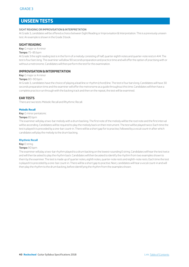# **UNSEEN TESTS**

## SIGHT READING OR IMPROVISATION & INTERPRETATION

At Grade 3, candidates will be offered a choice between Sight Reading or Improvisation & Interpretation. This is a previously unseen test. An example is shown in the Grade 3 book.

## **SIGHT READING**

#### **Key:** G major or A minor

#### **Tempo:** 75–85 bpm

At Grade 3 the sight reading test is in the form of a melody consisting of half, quarter eighth notes and quarter-note rests in 4/4. The test is four bars long. The examiner will allow 90 seconds preparation and practice time and will offer the option of practising with or without a metronome. Candidates will then perform the test for the examination.

## **IMPROVISATION & INTERPRETATION**

**Key:** G major or A minor

#### **Tempo:** 80–90 bpm

At Grade 3, candidates have the choice of playing a lead line or rhythm (chord) line. The test is four bars long. Candidates will have 30 seconds preparation time and the examiner will offer the metronome as a guide throughout this time. Candidates will then have a complete practice run through with the backing track and then on the repeat, the test will be examined.

## **EAR TESTS**

There are two tests: Melodic Recall and Rhythmic Recall.

#### **Melodic Recall**

**Key:** G minor pentatonic

#### **Tempo:** 85 bpm

The examiner will play a two-bar melody with a drum backing. The first note of the melody will be the root note and the first interval will be ascending. Candidates will be required to play the melody back on their instrument. The test will be played twice. Each time the test is played it is preceded by a one-bar count-in. There will be a short gap for to practise, followed by a vocal count-in after which candidates will play the melody to the drum backing.

#### **Rhythmic Recall**

## **Key:** E string

#### **Tempo:** 90 bpm

The examiner will play a two-bar rhythm played to a drum backing on the lowest-sounding E string. Candidates will hear the test twice and will then be asked to play the rhythm back. Candidates will then be asked to identify the rhythm from two examples shown to them by the examiner. The test is made up of quarter notes, eighth notes, quarter-note rests and eighth-note rests. Each time the test is played it is preceded by a one-bar count-in. There will be a short gap to practise. Next, candidates will hear a vocal count-in and will then play the rhythm to the drum backing, before identifying the rhythm from the examples shown.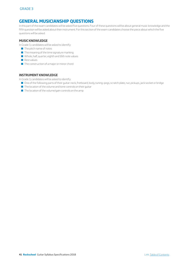# **GENERAL MUSICIANSHIP QUESTIONS**

In this part of the exam candidates will be asked five questions. Four of these questions will be about general music knowledge and the fifth question will be asked about their instrument. For this section of the exam candidates choose the piece about which the five questions will be asked.

## **MUSIC KNOWLEDGE**

In Grade 3, candidates will be asked to identify:

- $\blacksquare$  The pitch name of notes
- $\blacksquare$  The meaning of the time signature marking
- Q Whole, half, quarter, eighth and 16th note values
- $\blacksquare$  Rest values
- $\blacksquare$  The construction of a major or minor chord

## **INSTRUMENT KNOWLEDGE**

In Grade 3, candidates will be asked to identify:

- One of the following parts of their guitar: neck, fretboard, body, tuning-pegs, scratch plate, nut, pickups, jack socket or bridge
- $\blacksquare$  The location of the volume and tone controls on their guitar
- $\blacksquare$  The location of the volume/gain controls on the amp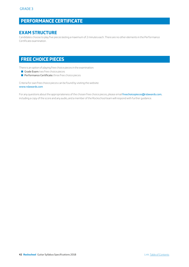# **PERFORMANCE CERTIFICATE**

# **EXAM STRUCTURE**

Candidates choose to play five pieces lasting a maximum of 2 minutes each. There are no other elements in the Performance Certificate examination.

# **FREE CHOICE PIECES**

There is an option of playing free choice pieces in the examination:

- Grade Exam: two free choice pieces
- **Performance Certificate:** three free choice pieces

Criteria for own free choice pieces can be found by visiting the website: www.rslawards.com

For any questions about the appropriateness of the chosen free choice pieces, please email [freechoicepieces@rslawards.com](mailto:freechoicepieces%40rslawards.com?subject=), including a copy of the score and any audio, and a member of the Rockschool team will respond with further guidance.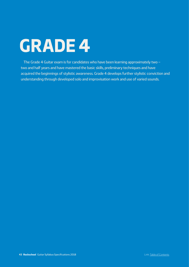# <span id="page-42-0"></span>**GRADE 4**

The Grade 4 Guitar exam is for candidates who have been learning approximately two – two and half years and have mastered the basic skills, preliminary techniques and have acquired the beginnings of stylistic awareness. Grade 4 develops further stylistic conviction and understanding through developed solo and improvisation work and use of varied sounds.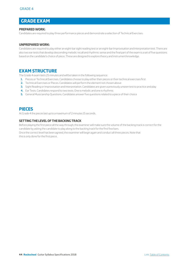# **GRADE EXAM**

## **PREPARED WORK:**

Candidates are required to play three performance pieces and demonstrate a selection of Technical Exercises.

## **UNPREPARED WORK:**

Candidates are required to play either an eight-bar sight reading test or an eight-bar Improvisation and Interpretation test. There are also two ear tests that develop descending melodic recall and rhythmic sense and the final part of the exam is a set of five questions based on the candidate's choice of piece. These are designed to explore theory and instrument knowledge.

# **EXAM STRUCTURE**

The Grade 4 exam lasts 25 minutes and will be taken in the following sequence:

- **1.** Pieces or Technical Exercises. Candidates choose to play either their pieces or their technical exercises first
- **2.** Technical Exercises or Pieces. Candidates will perform the element not chosen above
- **3.** Sight Reading or Improvisation and Interpretation. Candidates are given a previously unseen test to practice and play
- **4.** Ear Tests. Candidates respond to two tests. One is melodic and one is rhythmic
- **5.** General Musicianship Questions. Candidates answer five questions related to a piece of their choice

# **PIECES**

At Grade 4 the pieces last up to a maximum of 2 minutes 15 seconds.

## **SETTING THE LEVEL OF THE BACKING TRACK**

Before playing the first piece all the way through, the examiner will make sure the volume of the backing track is correct for the candidate by asking the candidate to play along to the backing track for the first few bars.

Once the correct level has been agreed, the examiner will begin again and conduct all three pieces. Note that this is only done for the first piece.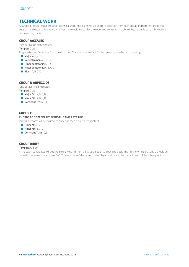# **TECHNICAL WORK**

At Grade 4 there are four groups of technical work. The examiner will ask for a selection from each group, and before starting this section candidates will be asked whether they would like to play the exercises along with the click or hear a single bar of click before commencing the test.

## **GROUP A: SCALES**

(two octaves in eighth notes)

**Tempo:** 80 bpm

Prepared in two fingerings from the 6th string. The examiner will ask for the same scale in the two fingerings.

- **Major: A, B, C, D**
- $\blacksquare$  Natural minor: A, B, C, D
- $\blacksquare$  Minor pentatonic: A, B, C, D
- $\blacksquare$  Major pentatonic: A, B, C, D
- Blues: A, B, C, D

## **GROUP B: ARPEGGIOS**

(one octave in eighth notes) **Tempo:** 80 bpm

- **Major 7th: A, B, C, D**
- **Minor 7th: A, B, C, D**
- Dominant 7th: A, B, C, D

## **GROUP C:**

### CHORDS TO BE PREPARED ON BOTH E AND A STRINGS

Individual chords will be strummed once and then picked (arpeggiated).

- **Major 7th: B, C, D**
- $\blacksquare$  Minor 7th: B, C, D
- Dominant 7th: B, C, D

## **GROUP D: RIFF**

#### **Tempo:** 100 bpm

In the exam candidates will be asked to play the riff from the Grade 4 book to a backing track. The riff shown in bars 1 and 2 should be played in the same shape in bars 3–8. The root note of the pattern to be played is shown in the music in each of the subsequent bars.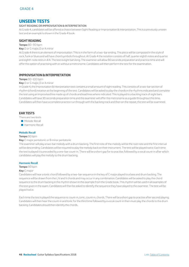# **UNSEEN TESTS**

## SIGHT READING OR IMPROVISATION & INTERPRETATION

At Grade 4, candidates will be offered a choice between Sight Reading or Improvisation & Interpretation. This is a previously unseen test and an example is shown in the Grade 4 book.

## **SIGHT READING**

### **Tempo:** 80–90 bpm

#### **Key:** D or G major, D or A minor

At Grade 4 there is an element of improvisation. This is in the form of a two-bar ending. The piece will be composed in the style of rock, funk or blues and will have chord symbols throughout. At Grade 4 the notation consists of half, quarter eighth notes and quarter and eighth-note rests in 4/4. The test is eight bars long. The examiner will allow 90 seconds preparation and practice time and will offer the option of practising with or without a metronome. Candidates will then perform the test for the examination.

## **IMPROVISATION & INTERPRETATION**

#### **Tempo:** 90–100 bpm

**Key:** D or G major, D or A minor

In Grade 4, the Improvisation & Interpretation test contains a small amount of sight reading. This consists of a two-bar section of rhythm (chord) notation at the beginning of the test. Candidates will be asked to play the chords in the rhythms indicated and complete the test using an improvised line made up of chords and lead lines where indicated. This is played to a backing track of eight bars. Candidates will have 30 seconds preparation time and the examiner will offer the metronome as a guide throughout this time. Candidates will then have a complete practice run through with the backing track and then on the repeat, the test will be examined.

## **EAR TESTS**

There are two tests

- **Melodic Recall**
- **B** Harmonic Recall

#### **Melodic Recall**

#### **Tempo:** 90 bpm

#### **Key:** C major pentatonic or B minor pentatonic

The examiner will play a two-bar melody with a drum backing. The first note of the melody will be the root note and the first interval will be descending. Candidates will be required to play the melody back on their instrument. The test will be played twice. Each time the test is played it is preceded by a one-bar count-in. There will be a short gap for to practise, followed by a vocal count-in after which candidates will play the melody to the drum backing.

#### **Harmonic Recall**

#### **Tempo:** 90 bpm

#### **Key:** C major

Candidates will hear a tonic chord followed by a two-bar sequence in the key of C major played to a bass and drum backing. The sequence will be drawn from the I, IV and V chords and may occur in any combination. Candidates will be asked to play the chord sequence to the drum backing in the rhythm shown in the example from the Grade book. This rhythm will be used in all examples of this test given in the exam. Candidates will then be asked to identify the sequence they have played to the examiner. The test will be played twice.

Each time the test is played the sequence is: count-in, tonic, count-in, chords. There will be a short gap to practise after second playing. Candidates will then hear the count-in and tonic for the third time followed by a vocal count-in then must play the chords to the drum backing. Candidates should then identify the chords.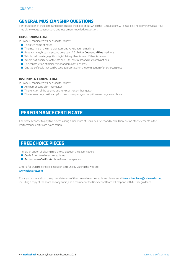# **GENERAL MUSICIANSHIP QUESTIONS**

For this section of the exam candidates choose the piece about which the five questions will be asked. The examiner will ask four music knowledge questions and one instrument knowledge question.

## **MUSIC KNOWLEDGE**

In Grade 4, candidates will be asked to identify:

- $\blacksquare$  The pitch name of notes
- $\blacksquare$  The meaning of the time signature and key signature marking
- Q Repeat marks, first and second time bars, **D.C.**, **D.S.**, **al Coda** and **al Fine** markings
- Q Whole, half, quarter, eighth note, triplet eighth notes and 16th note values
- Q Whole, half, quarter, eighth note and 16th-note rests and rest combinations
- $\blacksquare$  The construction of major, minor or dominant 7 chords
- $\Box$  One type of scale that can be used appropriately in the solo section of the chosen piece

## **INSTRUMENT KNOWLEDGE**

In Grade 4, candidates will be asked to identify:

- $\blacksquare$  Any part or control on their guitar
- $\blacksquare$  The function of the volume and tone controls on their guitar
- $\blacksquare$  The tone settings on the amp for the chosen piece, and why these settings were chosen

# **PERFORMANCE CERTIFICATE**

Candidates choose to play five pieces lasting a maximum of 2 minutes 15 seconds each. There are no other elements in the Performance Certificate examination.

# **FREE CHOICE PIECES**

There is an option of playing free choice pieces in the examination:

- $\blacksquare$  Grade Exam: two free choice pieces
- **Performance Certificate:** three free choice pieces

Criteria for own free choice pieces can be found by visiting the website: www.rslawards.com

For any questions about the appropriateness of the chosen free choice pieces, please email [freechoicepieces@rslawards.com](mailto:freechoicepieces%40rslawards.com?subject=), including a copy of the score and any audio, and a member of the Rockschool team will respond with further guidance.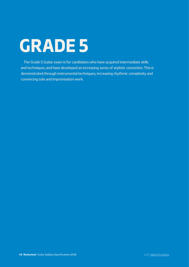# <span id="page-47-0"></span>**GRADE 5**

The Grade 5 Guitar exam is for candidates who have acquired intermediate skills and techniques, and have developed an increasing sense of stylistic conviction. This is demonstrated through instrumental techniques, increasing rhythmic complexity and convincing solo and improvisation work.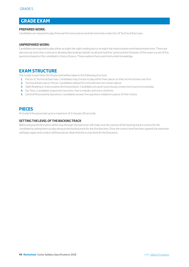# **GRADE EXAM**

## **PREPARED WORK:**

Candidates are required to play three performance pieces and demonstrate a selection of Technical Exercises.

## **UNPREPARED WORK:**

Candidates are required to play either an eight-bar sight reading test or an eight-bar Improvisation and Interpretation test. There are also two ear tests that continue to develop descending melodic recall and rhythmic sense and the final part of the exam is a set of five questions based on the candidate's choice of piece. These explore theory and instrument knowledge.

# **EXAM STRUCTURE**

The Grade 5 exam lasts 26 minutes and will be taken in the following structure:

- **1.** Pieces or Technical Exercises. Candidates may choose to play either their pieces or their technical exercises first
- **2.** Technical Exercises or Pieces. Candidates will perform the element not chosen above
- **3.** Sight Reading or Improvisation & Interpretation. Candidates are given a previously unseen test to practice and play
- **4.** Ear Tests. Candidates respond to two tests. One is melodic and one is rhythmic
- **5.** General Musicianship Questions. Candidates answer five questions related to a piece of their choice

# **PIECES**

At Grade 5 the pieces last up to a maximum of 2 minutes 30 seconds.

## **SETTING THE LEVEL OF THE BACKING TRACK**

*Before playing the first piece all the way through, the examiner will make sure the volume of the backing track is correct for the*  candidate by asking them to play along to the backing track for the first few bars. Once the correct level has been agreed, the examiner *will begin again and conduct all three pieces. Note that this is only done for the first piece.*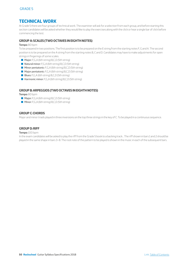# **TECHNICAL WORK**

At Grade 5 there are four groups of technical work. The examiner will ask for a selection from each group, and before starting this section candidates will be asked whether they would like to play the exercises along with the click or hear a single bar of click before commencing the test.

## **GROUP A: SCALES (TWO OCTAVES IN EIGHTH NOTES)**

#### **Tempo:** 80 bpm

To be prepared in two positions. The first position is to be prepared on the E string from the starting notes F, G and A. The second position is to be prepared on the A string from the starting notes B, C and D. Candidates may have to make adjustments for open strings in fingerings of some scales.

- Major: F,G,A (6th string) B,C,D (5th string)
- Natural minor: F,G,A (6th string) B,C,D (5th string)
- Minor pentatonic: F,G,A (6th string) B,C,D (5th string)
- Major pentatonic: F,G,A (6th string) B,C,D (5th string)
- Blues: F,G,A (6th string) B,C,D (5th string)
- **Harmonic minor:** F,G,A (6th string) B,C,D (5th string)

## **GROUP B: ARPEGGIOS (TWO OCTAVES IN EIGHTH NOTES)**

**Tempo:** 80 bpm

- Major: F,G,A (6th string) B,C,D (5th string)
- Minor: F,G,A (6th string) B,C,D (5th string)

## **GROUP C: CHORDS**

Major and minor triads played in three inversions on the top three strings in the key of C. To be played in a continuous sequence.

## **GROUP D: RIFF**

**Tempo:** 100 bpm

In the exam candidates will be asked to play the riff from the Grade 5 book to a backing track. . The riff shown in bars 1 and 2 should be played in the same shape in bars 3–8. The root note of the pattern to be played is shown in the music in each of the subsequent bars.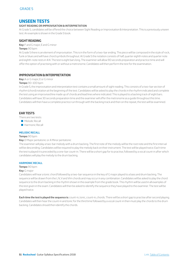# **UNSEEN TESTS**

## **SIGHT READING OR IMPROVISATION & INTERPRETATION**

At Grade 5, candidates will be offered the choice between Sight Reading or Improvisation & Interpretation. This is a previously unseen test. An example is shown in the Grade 5 book.

## **SIGHT READING**

**Key:** F and G major, E and G minor

#### **Tempo:** 90 bpm

At Grade 5 there is an element of improvisation. This is in the form of a two-bar ending. The piece will be composed in the style of rock, funk or blues and will have chord symbols throughout. At Grade 5 the notation consists of half, quarter eighth notes and quarter note and eighth-note rests in 4/4. The test is eight bars long. The examiner will allow 90 seconds preparation and practice time and will offer the option of practising with or without a metronome. Candidates will then perform the test for the examination.

## **IMPROVISATION & INTERPRETATION**

**Key:** A or G major, E or G minor

#### **Tempo:** 90–100 bpm

In Grade 5, the improvisation and interpretation test contains a small amount of sight reading. This consists of a two-bar section of rhythm (chord) notation at the beginning of the test. Candidates will be asked to play the chords in the rhythm indicated and complete the test using an improvised line made up of chords and lead lines where indicated. This is played to a backing track of eight bars. Candidates will have 30 seconds preparation time and the examiner will offer the metronome as a guide throughout this time. Candidates will then have a complete practice run through with the backing track and then on the repeat, the test will be examined.

## **EAR TESTS**

There are two tests:

- **Melodic Recall**
- **B** Harmonic Recall

#### **MELODIC RECALL**

#### **Tempo:** 90 bpm

#### **Key:** D Major pentatonic or A Minor pentatonic

The examiner will play a two-bar melody with a drum backing. The first note of the melody will be the root note and the first interval will be descending. Candidates will be required to play the melody back on their instrument. The test will be played twice. Each time the test is played it is preceded by a one-bar count-in. There will be a short gap for to practise, followed by a vocal count-in after which candidates will play the melody to the drum backing.

#### **HARMONIC RECALL**

#### **Tempo:** 90 bpm

#### **Key:** G major

Candidates will hear a tonic chord followed by a two-bar sequence in the key of G major played to a bass and drum backing. The sequence will be drawn from the I, IV, V and VIm chords and may occur in any combination. Candidates will be asked to play the chord sequence to the drum backing in the rhythm shown in the example from the grade book. This rhythm will be used in all examples of this test given in the exam. Candidates will then be asked to identify the sequence they have played to the examiner. The test will be played twice.

**Each time the test is played the sequence is:** count-in, tonic, count-in, chords. There will be a short gap to practise after second playing. Candidates will then hear the count-in and tonic for the third time followed by a vocal count-in then must play the chords to the drum backing. Candidates should then identify the chords.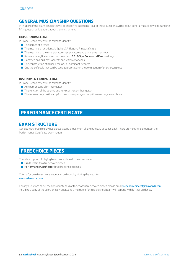# **GENERAL MUSICIANSHIP QUESTIONS**

In this part of the exam candidates will be asked five questions. Four of these questions will be about general music knowledge and the fifth question will be asked about their instrument.

## **MUSIC KNOWLEDGE**

In Grade 5, candidates will be asked to identify:

- $\blacksquare$  The names of pitches
- The meaning of accidentals:  $\sharp$  (sharp),  $\flat$  (flat) and  $\natural$  (natural) signs
- $\blacksquare$  The meaning of the time signature, key signature and swing time markings
- Q Repeat marks, first and second time bars, **D.C.**, **D.S.**, **al Coda** and **al Fine** markings
- Q Hammer-ons, pull-offs, accents and *vibrato* markings
- The construction of minor 7, major 7 or dominant 7 chords
- $\blacksquare$  One type of scale that can be used appropriately in the solo section of the chosen piece

## **INSTRUMENT KNOWLEDGE**

In Grade 5, candidates will be asked to identify:

- $\blacksquare$  Any part or control on their guitar
- $\blacksquare$  The function of the volume and tone controls on their guitar
- $\blacksquare$  The tone settings on the amp for the chosen piece, and why these settings were chosen

# **PERFORMANCE CERTIFICATE**

# **EXAM STRUCTURE**

Candidates choose to play five pieces lasting a maximum of 2 minutes 30 seconds each. There are no other elements in the Performance Certificate examination.

# **FREE CHOICE PIECES**

There is an option of playing free choice pieces in the examination:

- Grade Exam: two free choice pieces
- **Performance Certificate:** three free choice pieces

Criteria for own free choice pieces can be found by visiting the website: www.rslawards.com

For any questions about the appropriateness of the chosen free choice pieces, please email [freechoicepieces@rslawards.com](mailto:freechoicepieces%40rslawards.com?subject=), including a copy of the score and any audio, and a member of the Rockschool team will respond with further guidance.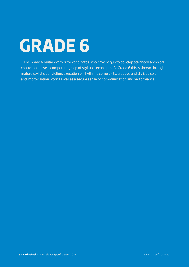# <span id="page-52-0"></span>**GRADE 6**

The Grade 6 Guitar exam is for candidates who have begun to develop advanced technical control and have a competent grasp of stylistic techniques. At Grade 6 this is shown through mature stylistic conviction, execution of rhythmic complexity, creative and stylistic solo and improvisation work as well as a secure sense of communication and performance.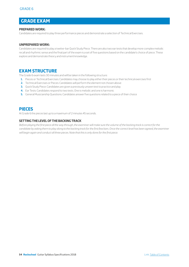# **GRADE EXAM**

## **PREPARED WORK:**

Candidates are required to play three performance pieces and demonstrate a selection of Technical Exercises.

## **UNPREPARED WORK:**

Candidates are required to play a twelve-bar Quick Study Piece. There are also two ear tests that develop more complex melodic recall and rhythmic sense and the final part of the exam is a set of five questions based on the candidate's choice of piece. These explore and demonstrate theory and instrument knowledge.

# **EXAM STRUCTURE**

The Grade 6 exam lasts 30 minutes and will be taken in the following structure:

- **1.** Pieces or Technical Exercises: Candidates may choose to play either their pieces or their technical exercises first
- **2.** Technical Exercises or Pieces: Candidates will perform the element not chosen above
- **3.** Quick Study Piece: Candidates are given a previously unseen test to practice and play
- **4.** Ear Tests: Candidates respond to two tests. One is melodic and one is harmonic
- **5.** General Musicianship Questions: Candidates answer five questions related to a piece of their choice

# **PIECES**

At Grade 6 the pieces last up to a maximum of 2 minutes 45 seconds.

## **SETTING THE LEVEL OF THE BACKING TRACK**

*Before playing the first piece all the way through, the examiner will make sure the volume of the backing track is correct for the*  candidate by asking them to play along to the backing track for the first few bars. Once the correct level has been agreed, the examiner *will begin again and conduct all three pieces. Note that this is only done for the first piece.*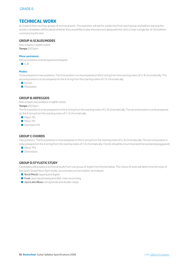# **TECHNICAL WORK**

At Grade 6 there are four groups of technical work. The examiner will ask for a selection from each group, and before starting this section candidates will be asked whether they would like to play the exercises along with the click or hear a single bar of click before commencing the test.

## **GROUP A: SCALES/MODES**

(two octaves in eighth notes) **Tempo:** 100 bpm

#### **Minor pentatonic:**

All five positions to be prepared and played.

 $\Box$  G, B.

#### **Modes:**

To be prepared in two positions. The first position is to be prepared on the E string from the starting notes of G-B chromatically. The second position is to be prepared on the A string from the starting notes of C-E chromatically.

- **Dorian**
- Mixolydian

## **GROUP B: ARPEGGIOS**

(two octaves, two positions in eighth notes)

#### **Tempo:** 100 bpm

The first position is to be prepared on the E string from the starting notes of G-B chromatically. The second position is to be prepared on the A string from the starting notes of C—E chromatically.

- **Major 7th**
- Minor 7th
- **Dominant 7th**

## **GROUP C: CHORDS**

Two positions. The first position is to be prepared on the E string from the starting notes of G-B chromatically. The second position is to be prepared on the A string from the starting notes of C-E chromatically. Chords should be strummed and then picked (arpeggiated).

- $Minor 7b 5$
- **Diminished**

## **GROUP D: STYLISTIC STUDY**

Candidates will prepare a technical study from one group of styles from the list below. The choice of style will determine the style of the Quick Study Piece. Each study concentrates on two stylistic techniques.

- **Rock/Metal:** tapping and *legato*
- **Funk:** *staccato* phrasing and 16th-note strumming
- **L** Jazz/Latin/Blues: string bends and double-stops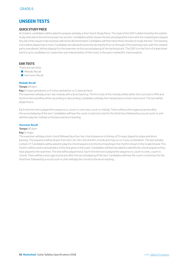# **UNSEEN TESTS**

## **QUICK STUDY PIECE**

At Grade 6, candidates will be asked to prepare and play a short Quick Study Piece. The style of the QSP is determined by the stylistic study selected in the technical exercise section. Candidates will be shown the test and played the track with the notated parts played. Any bars that require improvisation will not be demonstrated. Candidates will then have three minutes to study the test. The backing track will be played twice more. Candidates are allowed to practise during the first run through of the backing track, with the notated parts now absent, before playing it to the examiner on the second playing of the backing track. The QSP is in the form of a lead sheet and it is up to candidates to create their own interpretation of the music in the parts marked for improvisation..

## **EAR TESTS**

There are two tests:

- **Melodic Recall**
- **B** Harmonic Recall

#### **Melodic Recall**

#### **Tempo:** 90 bpm

**Key:** D major pentatonic or D minor pentatonic or G natural minor

The examiner will play a two-bar melody with a drum backing. The first note of the melody will be either the root note or fifth and the first interval will be either ascending or descending. Candidates will play the melody back on their instrument. The test will be played twice.

Each time the test is played the sequence is: count-in, root note, count-in, melody. There will be a short gap to practise after the second playing of the test. Candidates will hear the count-in and root note for the third time, followed by a vocal count-in, and will then play the melody to the bass and drum backing.

#### **Harmonic Recall**

#### **Tempo:** 90 bpm

#### **Key:** D major

The examiner will play a tonic chord followed by a four-bar chord sequence in the key of D major, played to a bass and drum backing. The sequence will be drawn from the I, IIm, IIIm, IV,V and VIm chords and may occur in any combination. The test will also contain V7. Candidates will be asked to play the chord sequence to the drum backing in the rhythm shown in the Grade 6 book. This rhythm will be used in all examples of this test given in the exam. Candidates will then be asked to identify the chord sequence they have played to the examiner. The test will be played twice. Each time the test is played the sequence is: count-in, tonic, count-in, chords. There will be a short gap to practise after the second playing of the test. Candidates will hear the count-in and tonic for the third time, followed by a vocal count-in, then will play the chords to the drum backing.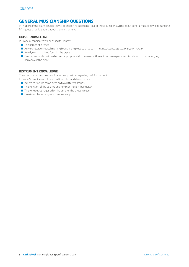# **GENERAL MUSICIANSHIP QUESTIONS**

In this part of the exam candidates will be asked five questions. Four of these questions will be about general music knowledge and the fifth question will be asked about their instrument.

## **MUSIC KNOWLEDGE**

In Grade 6, candidates will be asked to identify:

- $\blacksquare$  The names of pitches
- Q Any expressive musical marking found in the piece such as palm muting, accents, *staccato*, *legato*, *vibrato*
- $\blacksquare$  Any dynamic marking found in the piece
- One type of scale that can be used appropriately in the solo section of the chosen piece and its relation to the underlying harmony of the piece

## **INSTRUMENT KNOWLEDGE**

The examiner will also ask candidates one question regarding their instrument.

In Grade 6, candidates will be asked to explain and demonstrate:

- $\blacksquare$  Where to find the same pitch on two different strings
- $\blacksquare$  The function of the volume and tone controls on their guitar
- $\blacksquare$  The tone set-up required on the amp for the chosen piece
- $\blacksquare$  How to achieve changes in tone in a song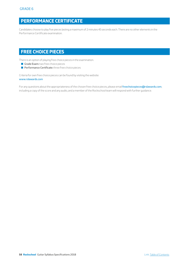# **PERFORMANCE CERTIFICATE**

Candidates choose to play five pieces lasting a maximum of 2 minutes 45 seconds each. There are no other elements in the Performance Certificate examination.

# **FREE CHOICE PIECES**

There is an option of playing free choice pieces in the examination.

- Grade Exam: two free choice pieces
- **Performance Certificate:** three free choice pieces

Criteria for own free choice pieces can be found by visiting the website: www.rslawards.com

For any questions about the appropriateness of the chosen free choice pieces, please email *[freechoicepieces@rslawards.com](mailto:freechoicepieces%40rslawards.com?subject=)*, including a copy of the score and any audio, and a member of the Rockschool team will respond with further guidance.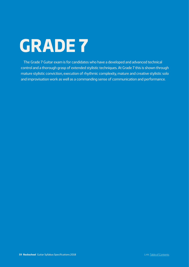# <span id="page-58-0"></span>**GRADE 7**

The Grade 7 Guitar exam is for candidates who have a developed and advanced technical control and a thorough grasp of extended stylistic techniques. At Grade 7 this is shown through mature stylistic conviction, execution of rhythmic complexity, mature and creative stylistic solo and improvisation work as well as a commanding sense of communication and performance.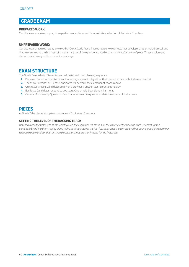# **GRADE EXAM**

## **PREPARED WORK:**

Candidates are required to play three performance pieces and demonstrate a selection of Technical Exercises.

## **UNPREPARED WORK:**

Candidates are required to play a twelve-bar Quick Study Piece. There are also two ear tests that develop complex melodic recall and rhythmic sense and the final part of the exam is a set of five questions based on the candidate's choice of piece. These explore and demonstrate theory and instrument knowledge.

# **EXAM STRUCTURE**

The Grade 7 exam lasts 33 minutes and will be taken in the following sequence:

- **1.** Pieces or Technical Exercises: Candidates may choose to play either their pieces or their technical exercises first
- **2.** Technical Exercises or Pieces: Candidates will perform the element not chosen above
- **3.** Quick Study Piece: Candidates are given a previously unseen test to practice and play
- **4.** Ear Tests: Candidates respond to two tests. One is melodic and one is harmonic
- **5.** General Musicianship Questions: Candidates answer five questions related to a piece of their choice

# **PIECES**

At Grade 7 the pieces last up to a maximum of 3 minutes 10 seconds.

## **SETTING THE LEVEL OF THE BACKING TRACK**

*Before playing the first piece all the way through, the examiner will make sure the volume of the backing track is correct for the*  candidate by asking them to play along to the backing track for the first few bars. Once the correct level has been agreed, the examiner *will begin again and conduct all three pieces. Note that this is only done for the first piece.*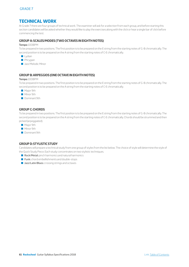# **TECHNICAL WORK**

At Grade 7 there are four groups of technical work. The examiner will ask for a selection from each group, and before starting this section candidates will be asked whether they would like to play the exercises along with the click or hear a single bar of click before commencing the test.

## **GROUP A: SCALES/MODES (TWO OCTAVES IN EIGHTH NOTES)**

#### **Tempo:** 100BPM

To be prepared in two positions. The first position is to be prepared on the E string from the starting notes of G-B chromatically. The second position is to be prepared on the A string from the starting notes of C-E chromatically.

- $\blacksquare$  Lydian
- **Phrygian**
- **Q** Jazz Melodic Minor

## **GROUP B: ARPEGGIOS (ONE OCTAVE IN EIGHTH NOTES)**

#### **Tempo:** 100BPM

To be prepared in two positions. The first position is to be prepared on the E string from the starting notes of G-B chromatically. The second position is to be prepared on the A string from the starting notes of C-E chromatically.

- Major 9th
- Minor 9th
- **Dominant 9th**

## **GROUP C: CHORDS**

To be prepared in two positions. The first position is to be prepared on the E string from the starting notes of G-B chromatically. The second position is to be prepared on the A string from the starting notes of C-E chromatically. Chords should be strummed and then picked (arpeggiated).

- Major 9th
- Minor 9th
- **Dominant 9th**

## **GROUP D: STYLISTIC STUDY**

Candidates will prepare a technical study from one group of styles from the list below. The choice of style will determine the style of the Quick Study Piece. Each study concentrates on two stylistic techniques.

- $\blacksquare$  Rock/Metal: pinch harmonics and natural harmonics
- **E** Funk: chord embellishments and double-stops
- **L** Jazz/Latin/Blues: crossing strings and octaves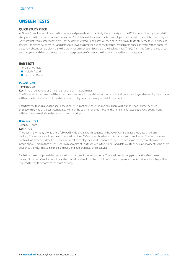# **UNSEEN TESTS**

## **QUICK STUDY PIECE**

At Grade 7, candidates will be asked to prepare and play a short Quick Study Piece. The style of the QSP is determined by the stylistic study selected in the technical exercise section. Candidates will be shown the test and played the track with the notated parts played. Any bars that require improvisation will not be demonstrated. Candidates will then have three minutes to study the test. The backing track will be played twice more. Candidates are allowed to practise during the first run through of the backing track, with the notated parts now absent, before playing it to the examiner on the second playing of the backing track. The QSP is in the form of a lead sheet and it is up to candidates to create their own interpretation of the music in the parts marked for improvisation.

## **EAR TESTS**

There are two tests

- **Melodic Recall**
- **B** Harmonic Recall

## **Melodic Recall**

#### **Tempo:** 90 bpm

**Key:** A major pentatonic or C minor pentatonic or A natural minor The first note of the melody will be either the root note or fifth and the first interval will be either ascending or descending. Candidates will hear the test twice and will then be required to play back the melody on their instrument.

Each time the test is played the sequence is: count-in, root note, count-in, melody. There will be a short gap to practise after the second playing of the test. Candidates will hear the count-in and root note for the third time followed by a vocal count-in and will then play the melody to the bass and drum backing.

#### **Harmonic Recall**

#### **Tempo:** 90 bpm

#### **Key:** A major

The examiner will play a tonic chord followed by a four-bar chord sequence in the key of A major played to a bass and drum backing. The sequence will be drawn from the I, IIm, IIIm, IV,V and VIm chords and may occur in any combination. The test may also contain IIm7, IIIm7 and VIm7. Candidates will be asked to play the chord sequence to the drum backing in the rhythm shown in the Grade 7 book. This rhythm will be used in all examples of this test given in the exam. Candidates will then be asked to identify the chord sequence they have played to the examiner. Candidates will hear the test twice.

Each time the test is played the sequence is: count-in, tonic, count-in, chords. There will be a short gap to practise after the second playing of the test. Candidates will hear the count-in and tonic for the third time, followed by a vocal count-in, after which they will be required to play the chords to the drum backing.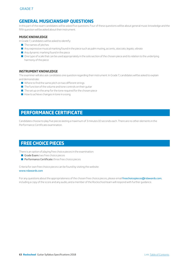# **GENERAL MUSICIANSHIP QUESTIONS**

In this part of the exam candidates will be asked five questions. Four of these questions will be about general music knowledge and the fifth question will be asked about their instrument.

## **MUSIC KNOWLEDGE**

In Grade 7, candidates will be asked to identify:

- $\blacksquare$  The names of pitches
- Q Any expressive musical marking found in the piece such as palm muting, accents, *staccato*, *legato*, *vibrato*
- $\blacksquare$  Any dynamic marking found in the piece
- $\blacksquare$  One type of scale that can be used appropriately in the solo section of the chosen piece and its relation to the underlying harmony of the piece

## **INSTRUMENT KNOWLEDGE**

The examiner will also ask candidates one question regarding their instrument. In Grade 7, candidates will be asked to explain and demonstrate:

- $\blacksquare$  Where to find the same pitch on two different strings
- $\blacksquare$  The function of the volume and tone controls on their guitar
- $\blacksquare$  The set up on the amp for the tone required for the chosen piece
- $\blacksquare$  How to achieve changes in tone in a song

# **PERFORMANCE CERTIFICATE**

Candidates choose to play five pieces lasting a maximum of 3 minutes 10 seconds each. There are no other elements in the Performance Certificate examination.

# **FREE CHOICE PIECES**

There is an option of playing free choice pieces in the examination:

- Grade Exam: two free choice pieces
- **Performance Certificate:** three free choice pieces

Criteria for own free choice pieces can be found by visiting the website: www.rslawards.com

For any questions about the appropriateness of the chosen free choice pieces, please email [freechoicepieces@rslawards.com](mailto:freechoicepieces%40rslawards.com?subject=), including a copy of the score and any audio, and a member of the Rockschool team will respond with further guidance.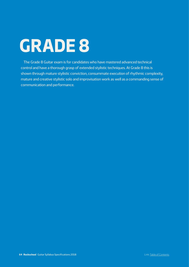# <span id="page-63-0"></span>**GRADE 8**

The Grade 8 Guitar exam is for candidates who have mastered advanced technical control and have a thorough grasp of extended stylistic techniques. At Grade 8 this is shown through mature stylistic conviction, consummate execution of rhythmic complexity, mature and creative stylistic solo and improvisation work as well as a commanding sense of communication and performance.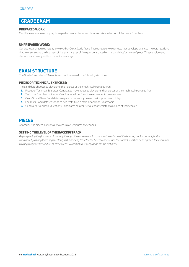# **GRADE EXAM**

## **PREPARED WORK:**

Candidates are required to play three performance pieces and demonstrate a selection of Technical Exercises.

## **UNPREPARED WORK:**

Candidates are required to play a twelve-bar Quick Study Piece. There are also two ear tests that develop advanced melodic recall and rhythmic sense and the final part of the exam is a set of five questions based on the candidate's choice of piece. These explore and demonstrate theory and instrument knowledge.

# **EXAM STRUCTURE**

The Grade 8 exam lasts 33 minutes and will be taken in the following structure:

## **PIECES OR TECHNICAL EXERCISES:**

The candidate chooses to play either their pieces or their technical exercises first:

- **1.** Pieces or Technical Exercises: Candidates may choose to play either their pieces or their technical exercises first
- **2.** Technical Exercises or Pieces: Candidates will perform the element not chosen above
- **3.** Quick Study Piece: Candidates are given a previously unseen test to practice and play
- **4.** Ear Tests: Candidates respond to two tests. One is melodic and one is harmonic
- **5.** General Musicianship Questions: Candidates answer five questions related to a piece of their choice

# **PIECES**

At Grade 8 the pieces last up to a maximum of 3 minutes 45 seconds.

## **SETTING THE LEVEL OF THE BACKING TRACK**

*Before playing the first piece all the way through, the examiner will make sure the volume of the backing track is correct for the candidate by asking them to play along to the backing track for the first few bars. Once the correct level has been agreed, the examiner will begin again and conduct all three pieces. Note that this is only done for the first piece.*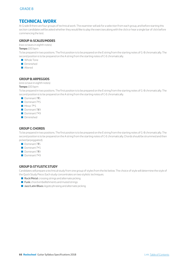# **TECHNICAL WORK**

At Grade 8 there are four groups of technical work. The examiner will ask for a selection from each group, and before starting this section candidates will be asked whether they would like to play the exercises along with the click or hear a single bar of click before commencing the test.

## **GROUP A: SCALES/MODES**

(two octaves in eighth notes)

#### **Tempo:** 100 bpm

To be prepared in two positions. The first position is to be prepared on the E string from the starting notes of G-B chromatically. The second position is to be prepared on the A string from the starting notes of C-E chromatically.

- Whole Tone
- Diminished
- Altered

## **GROUP B: ARPEGGIOS**

(one octave in eighth notes)

**Tempo:** 100 bpm

To be prepared in two positions. The first position is to be prepared on the E string from the starting notes of G-B chromatically. The second position is to be prepared on the A string from the starting notes of C-E chromatically.

- Dominant 7#5
- Dominant  $7b\,5$
- $M$  Minor 7 $b$  5
- Dominant 7#9
- $\Box$  Dominant  $7b9$
- Diminichad

## **GROUP C: CHORDS**

To be prepared in two positions. The first position is to be prepared on the E string from the starting notes of G-B chromatically. The second position is to be prepared on the A string from the starting notes of C-E chromatically. Chords should be strummed and then picked (arpeggiated).

- Dominant 7#5
- Dominant  $7b\,5$
- Dominant 7#9
- Dominant  $7b9$

## **GROUP D: STYLISTIC STUDY**

Candidates will prepare a technical study from one group of styles from the list below. The choice of style will determine the style of the Quick Study Piece. Each study concentrates on two stylistic techniques.

- Rock/Metal: crossing strings and alternate picking
- **Funk:** chord embellishments and muted strings
- Q Jazz/Latin/Blues: *legato* phrasing and alternate picking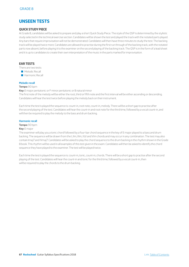# **UNSEEN TESTS**

## **QUICK STUDY PIECE**

At Grade 8, candidates will be asked to prepare and play a short Quick Study Piece. The style of the QSP is determined by the stylistic study selected in the technical exercise section. Candidates will be shown the test and played the track with the notated parts played. Any bars that require improvisation will not be demonstrated. Candidates will then have three minutes to study the test. The backing track will be played twice more. Candidates are allowed to practise during the first run through of the backing track, with the notated parts now absent, before playing it to the examiner on the second playing of the backing track. The QSP is in the form of a lead sheet and it is up to candidates to create their own interpretation of the music in the parts marked for improvisation.

## **EAR TESTS**

There are two tests:

- **Melodic Recall**
- **B** Harmonic Recall

## **Melodic recall**

#### **Tempo:** 90 bpm

**Key:** E major pentatonic or F minor pentatonic or B natural minor The first note of the melody will be either the root, third or fifth note and the first interval will be either ascending or descending. Candidates will hear the test twice before playing the melody back on their instrument.

Each time the test is played the sequence is: count-in, root note, count-in, melody. There will be a short gap to practise after the second playing of the test. Candidates will hear the count-in and root note for the third time, followed by a vocal count-in, and will then be required to play the melody to the bass and drum backing.

#### **Harmonic recall**

#### **Tempo:** 90 bpm

#### **Key:** E major

The examiner will play you a tonic chord followed by a four-bar chord sequence in the key of E major played to a bass and drum backing. The sequence will be drawn from the I, IIm, IIIm, IV,V and VIm chords and may occur in any combination. The test may also contain Imaj7 and IVmaj7. Candidates will be asked to play the chord sequence to the drum backing in the rhythm shown in the Grade 8 book. This rhythm will be used in all examples of this test given in the exam. Candidates will then be asked to identify the chord sequence they have played to the examiner. The test will be played twice.

Each time the test is played the sequence is: count-in, tonic, count-in, chords. There will be a short gap to practise after the second playing of the test. Candidates will hear the count-in and tonic for the third time, followed by a vocal count-in, then will be required to play the chords to the drum backing.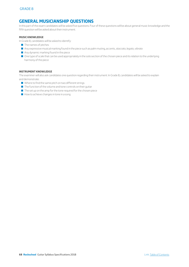# **GENERAL MUSICIANSHIP QUESTIONS**

In this part of the exam candidates will be asked five questions. Four of these questions will be about general music knowledge and the fifth question will be asked about their instrument.

## **MUSIC KNOWLEDGE**

In Grade 8, candidates will be asked to identify:

- $\blacksquare$  The names of pitches
- Q Any expressive musical marking found in the piece such as palm muting, accents, *staccato*, *legato*, *vibrato*
- $\blacksquare$  Any dynamic marking found in the piece
- One type of scale that can be used appropriately in the solo section of the chosen piece and its relation to the underlying harmony of the piece

## **INSTRUMENT KNOWLEDGE**

The examiner will also ask candidates one question regarding their instrument. In Grade 8, candidates will be asked to explain and demonstrate:

- $\blacksquare$  Where to find the same pitch on two different strings
- $\blacksquare$  The function of the volume and tone controls on their guitar
- $\blacksquare$  The set up on the amp for the tone required for the chosen piece
- $\blacksquare$  How to achieve changes in tone in a song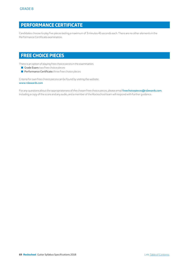# **PERFORMANCE CERTIFICATE**

Candidates choose to play five pieces lasting a maximum of 3 minutes 45 seconds each. There are no other elements in the Performance Certificate examination.

# **FREE CHOICE PIECES**

There is an option of playing free choice pieces in the examination.

- Grade Exam: two free choice pieces
- **Performance Certificate:** three free choice pieces

Criteria for own free choice pieces can be found by visiting the website: www.rslawards.com

For any questions about the appropriateness of the chosen free choice pieces, please email [freechoicepieces@rslawards.com](mailto:freechoicepieces%40rslawards.com?subject=), including a copy of the score and any audio, and a member of the Rockschool team will respond with further guidance.